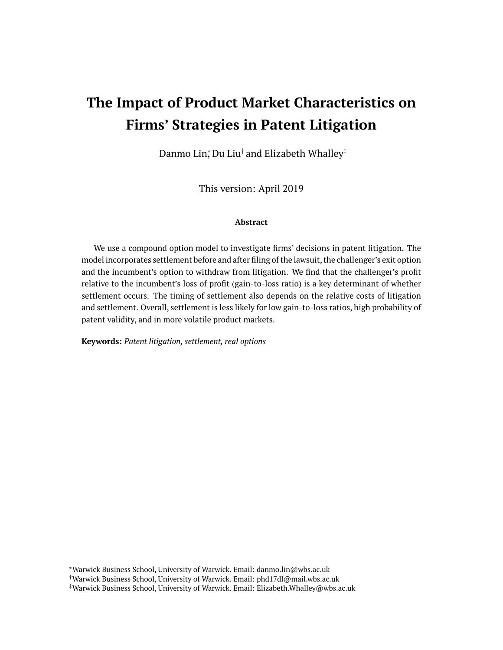# **The Impact of Product Market Characteristics on Firms' Strategies in Patent Litigation**

Danmo Lin;ٌ Du Liu† and Elizabeth Whalley‡

This version: April 2019

#### **Abstract**

We use a compound option model to investigate firms' decisions in patent litigation. The model incorporates settlement before and after filing of the lawsuit, the challenger's exit option and the incumbent's option to withdraw from litigation. We find that the challenger's profit relative to the incumbent's loss of profit (gain-to-loss ratio) is a key determinant of whether settlement occurs. The timing of settlement also depends on the relative costs of litigation and settlement. Overall, settlement is less likely for low gain-to-loss ratios, high probability of patent validity, and in more volatile product markets.

**Keywords:** *Patent litigation, settlement, real options*

<sup>∗</sup>Warwick Business School, University of Warwick. Email: danmo.lin@wbs.ac.uk

<sup>†</sup>Warwick Business School, University of Warwick. Email: phd17dl@mail.wbs.ac.uk

<sup>‡</sup>Warwick Business School, University of Warwick. Email: Elizabeth.Whalley@wbs.ac.uk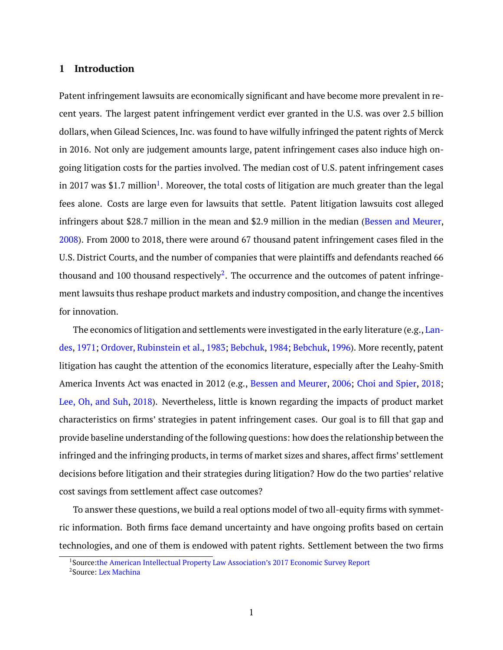# **1 Introduction**

Patent infringement lawsuits are economically significant and have become more prevalent in recent years. The largest patent infringement verdict ever granted in the U.S. was over 2.5 billion dollars, when Gilead Sciences, Inc. was found to have wilfully infringed the patent rights of Merck in 2016. Not only are judgement amounts large, patent infringement cases also induce high ongoing litigation costs for the parties involved. The median cost of U.S. patent infringement cases in 20[1](#page-1-0)7 was \$1.7 million $^1\!\!$  . Moreover, the total costs of litigation are much greater than the legal fees alone. Costs are large even for lawsuits that settle. Patent litigation lawsuits cost alleged infringers about \$28.7 million in the mean and \$2.9 million in the median [\(Bessen and Meurer,](#page-28-0) [2008\)](#page-28-0). From 2000 to 2018, there were around 67 thousand patent infringement cases filed in the U.S. District Courts, and the number of companies that were plaintiffs and defendants reached 66 thousand and 100 thousand respectively<sup>[2](#page-1-1)</sup>. The occurrence and the outcomes of patent infringement lawsuits thus reshape product markets and industry composition, and change the incentives for innovation.

The economics of litigation and settlements were investigated in the early literature (e.g., [Lan](#page-29-0)[des,](#page-29-0) [1971;](#page-29-0) [Ordover, Rubinstein et al.,](#page-29-1) [1983;](#page-29-1) [Bebchuk,](#page-28-1) [1984;](#page-28-1) [Bebchuk,](#page-28-2) [1996\)](#page-28-2). More recently, patent litigation has caught the attention of the economics literature, especially after the Leahy-Smith America Invents Act was enacted in 2012 (e.g., [Bessen and Meurer,](#page-28-3) [2006;](#page-28-3) [Choi and Spier,](#page-28-4) [2018;](#page-28-4) [Lee, Oh, and Suh,](#page-29-2) [2018\)](#page-29-2). Nevertheless, little is known regarding the impacts of product market characteristics on firms' strategies in patent infringement cases. Our goal is to fill that gap and provide baseline understanding of the following questions: how does the relationship between the infringed and the infringing products, in terms of market sizes and shares, affect firms' settlement decisions before litigation and their strategies during litigation? How do the two parties' relative cost savings from settlement affect case outcomes?

To answer these questions, we build a real options model of two all-equity firms with symmetric information. Both firms face demand uncertainty and have ongoing profits based on certain technologies, and one of them is endowed with patent rights. Settlement between the two firms

<span id="page-1-0"></span><sup>&</sup>lt;sup>1</sup>Source[:the American Intellectual Property Law Association's 2017 Economic Survey Report](https://www.aipla.org/detail/journal-issue/economic-survey-2017)

<span id="page-1-1"></span><sup>&</sup>lt;sup>2</sup>Source: [Lex Machina](https://lexmachina.com/)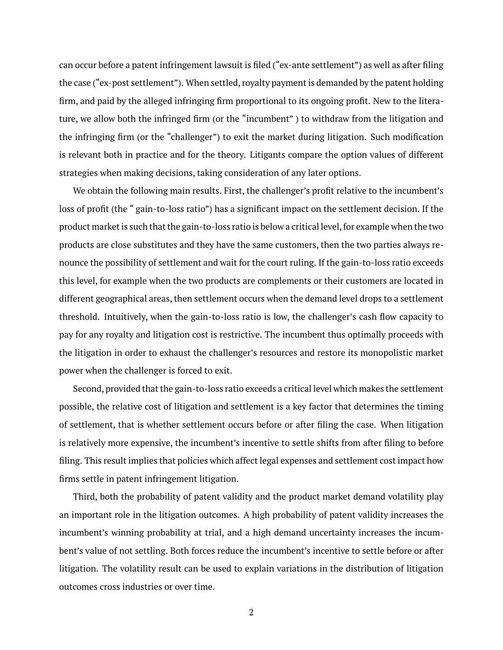can occur before a patent infringement lawsuit is filed ("ex-ante settlement") as well as after filing the case ("ex-post settlement"). When settled, royalty payment is demanded by the patent holding firm, and paid by the alleged infringing firm proportional to its ongoing profit. New to the literature, we allow both the infringed firm (or the "incumbent" ) to withdraw from the litigation and the infringing firm (or the "challenger") to exit the market during litigation. Such modification is relevant both in practice and for the theory. Litigants compare the option values of different strategies when making decisions, taking consideration of any later options.

We obtain the following main results. First, the challenger's profit relative to the incumbent's loss of profit (the " gain-to-loss ratio") has a significant impact on the settlement decision. If the product market is such that the gain-to-loss ratio is below a critical level, for example when the two products are close substitutes and they have the same customers, then the two parties always renounce the possibility of settlement and wait for the court ruling. If the gain-to-loss ratio exceeds this level, for example when the two products are complements or their customers are located in different geographical areas, then settlement occurs when the demand level drops to a settlement threshold. Intuitively, when the gain-to-loss ratio is low, the challenger's cash flow capacity to pay for any royalty and litigation cost is restrictive. The incumbent thus optimally proceeds with the litigation in order to exhaust the challenger's resources and restore its monopolistic market power when the challenger is forced to exit.

Second, provided that the gain-to-loss ratio exceeds a critical level which makes the settlement possible, the relative cost of litigation and settlement is a key factor that determines the timing of settlement, that is whether settlement occurs before or after filing the case. When litigation is relatively more expensive, the incumbent's incentive to settle shifts from after filing to before filing. This result implies that policies which affect legal expenses and settlement cost impact how firms settle in patent infringement litigation.

Third, both the probability of patent validity and the product market demand volatility play an important role in the litigation outcomes. A high probability of patent validity increases the incumbent's winning probability at trial, and a high demand uncertainty increases the incumbent's value of not settling. Both forces reduce the incumbent's incentive to settle before or after litigation. The volatility result can be used to explain variations in the distribution of litigation outcomes cross industries or over time.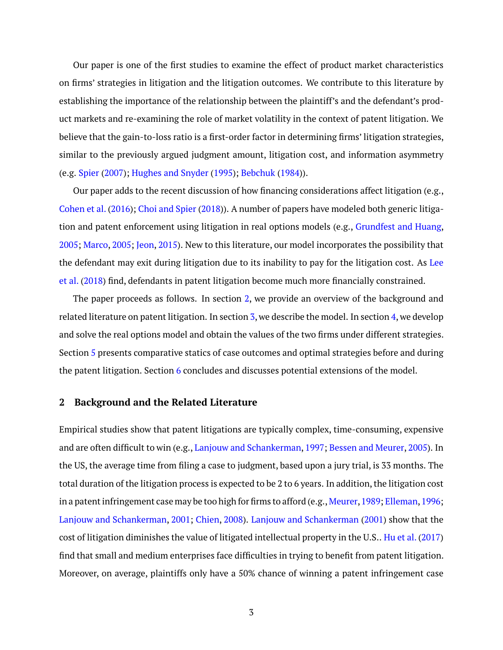Our paper is one of the first studies to examine the effect of product market characteristics on firms' strategies in litigation and the litigation outcomes. We contribute to this literature by establishing the importance of the relationship between the plaintiff's and the defendant's product markets and re-examining the role of market volatility in the context of patent litigation. We believe that the gain-to-loss ratio is a first-order factor in determining firms' litigation strategies, similar to the previously argued judgment amount, litigation cost, and information asymmetry (e.g. [Spier](#page-29-3) [\(2007\)](#page-29-3); [Hughes and Snyder](#page-29-4) [\(1995\)](#page-29-4); [Bebchuk](#page-28-1) [\(1984\)](#page-28-1)).

Our paper adds to the recent discussion of how financing considerations affect litigation (e.g., [Cohen et al.](#page-28-5) [\(2016\)](#page-28-5); [Choi and Spier](#page-28-4) [\(2018\)](#page-28-4)). A number of papers have modeled both generic litigation and patent enforcement using litigation in real options models (e.g., [Grundfest and Huang,](#page-28-6) [2005;](#page-28-6) [Marco,](#page-29-5) [2005;](#page-29-5) [Jeon,](#page-29-6) [2015\)](#page-29-6). New to this literature, our model incorporates the possibility that the defendant may exit during litigation due to its inability to pay for the litigation cost. As [Lee](#page-29-2) [et al.](#page-29-2) [\(2018\)](#page-29-2) find, defendants in patent litigation become much more financially constrained.

The paper proceeds as follows. In section [2,](#page-3-0) we provide an overview of the background and related literature on patent litigation. In section [3,](#page-5-0) we describe the model. In section [4,](#page-7-0) we develop and solve the real options model and obtain the values of the two firms under different strategies. Section [5](#page-19-0) presents comparative statics of case outcomes and optimal strategies before and during the patent litigation. Section [6](#page-26-0) concludes and discusses potential extensions of the model.

# <span id="page-3-0"></span>**2 Background and the Related Literature**

Empirical studies show that patent litigations are typically complex, time-consuming, expensive and are often difficult to win (e.g., [Lanjouw and Schankerman,](#page-29-7) [1997;](#page-29-7) [Bessen and Meurer,](#page-28-7) [2005\)](#page-28-7). In the US, the average time from filing a case to judgment, based upon a jury trial, is 33 months. The total duration of the litigation process is expected to be 2 to 6 years. In addition, the litigation cost in a patent infringement case may be too high for firms to afford (e.g., Meurer, 1989; Elleman, 1996; [Lanjouw and Schankerman,](#page-29-9) [2001;](#page-29-9) [Chien,](#page-28-9) [2008\)](#page-28-9). [Lanjouw and Schankerman](#page-29-9) [\(2001\)](#page-29-9) show that the cost of litigation diminishes the value of litigated intellectual property in the U.S.. [Hu et al.\(2017\)](#page-29-10) find that small and medium enterprises face difficulties in trying to benefit from patent litigation. Moreover, on average, plaintiffs only have a 50% chance of winning a patent infringement case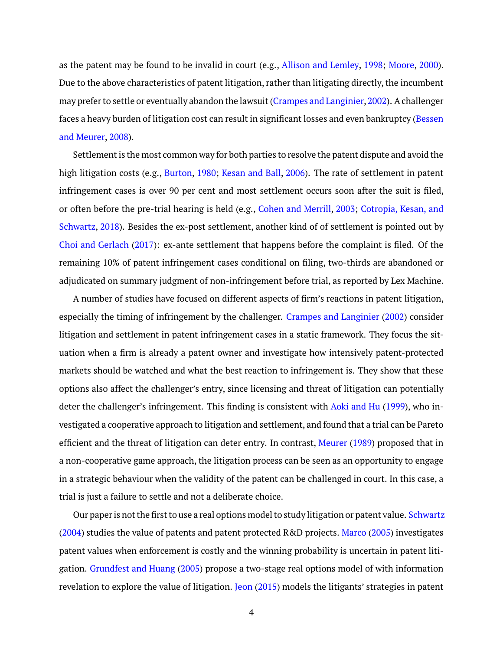as the patent may be found to be invalid in court (e.g., [Allison and Lemley,](#page-28-10) [1998;](#page-28-10) [Moore,](#page-29-11) [2000\)](#page-29-11). Due to the above characteristics of patent litigation, rather than litigating directly, the incumbent may prefer to settle or eventually abandon the lawsuit [\(Crampes and Langinier,2002\)](#page-28-11). A challenger faces a heavy burden of litigation cost can result in significant losses and even bankruptcy [\(Bessen](#page-28-0) [and Meurer,](#page-28-0) [2008\)](#page-28-0).

Settlement is the most common way for both parties to resolve the patent dispute and avoid the high litigation costs (e.g., [Burton,](#page-28-12) [1980;](#page-28-12) [Kesan and Ball,](#page-29-12) [2006\)](#page-29-12). The rate of settlement in patent infringement cases is over 90 per cent and most settlement occurs soon after the suit is filed, or often before the pre-trial hearing is held (e.g., [Cohen and Merrill,](#page-28-13) [2003;](#page-28-13) [Cotropia, Kesan, and](#page-28-14) [Schwartz,](#page-28-14) [2018\)](#page-28-14). Besides the ex-post settlement, another kind of of settlement is pointed out by [Choi and Gerlach](#page-28-15) [\(2017\)](#page-28-15): ex-ante settlement that happens before the complaint is filed. Of the remaining 10% of patent infringement cases conditional on filing, two-thirds are abandoned or adjudicated on summary judgment of non-infringement before trial, as reported by Lex Machine.

A number of studies have focused on different aspects of firm's reactions in patent litigation, especially the timing of infringement by the challenger. [Crampes and Langinier](#page-28-11) [\(2002\)](#page-28-11) consider litigation and settlement in patent infringement cases in a static framework. They focus the situation when a firm is already a patent owner and investigate how intensively patent-protected markets should be watched and what the best reaction to infringement is. They show that these options also affect the challenger's entry, since licensing and threat of litigation can potentially deter the challenger's infringement. This finding is consistent with [Aoki and Hu](#page-28-16) [\(1999\)](#page-28-16), who investigated a cooperative approach to litigation and settlement, and found that a trial can be Pareto efficient and the threat of litigation can deter entry. In contrast, [Meurer](#page-29-8) [\(1989\)](#page-29-8) proposed that in a non-cooperative game approach, the litigation process can be seen as an opportunity to engage in a strategic behaviour when the validity of the patent can be challenged in court. In this case, a trial is just a failure to settle and not a deliberate choice.

Our paper is not the first to use a real options model to study litigation or patent value. [Schwartz](#page-29-13) [\(2004\)](#page-29-13) studies the value of patents and patent protected R&D projects. [Marco](#page-29-5) [\(2005\)](#page-29-5) investigates patent values when enforcement is costly and the winning probability is uncertain in patent litigation. [Grundfest and Huang](#page-28-6) [\(2005\)](#page-28-6) propose a two-stage real options model of with information revelation to explore the value of litigation. [Jeon](#page-29-6) [\(2015\)](#page-29-6) models the litigants' strategies in patent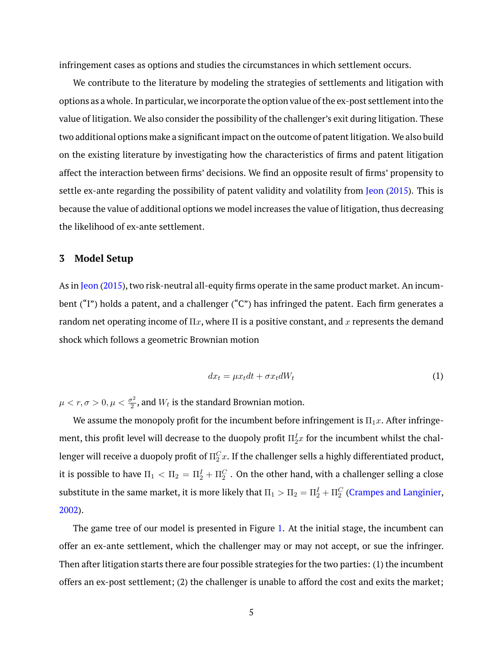infringement cases as options and studies the circumstances in which settlement occurs.

We contribute to the literature by modeling the strategies of settlements and litigation with options as a whole. In particular, we incorporate the option value of the ex-post settlement into the value of litigation. We also consider the possibility of the challenger's exit during litigation. These two additional options make a significant impact on the outcome of patent litigation. We also build on the existing literature by investigating how the characteristics of firms and patent litigation affect the interaction between firms' decisions. We find an opposite result of firms' propensity to settle ex-ante regarding the possibility of patent validity and volatility from [Jeon](#page-29-6) [\(2015\)](#page-29-6). This is because the value of additional options we model increases the value of litigation, thus decreasing the likelihood of ex-ante settlement.

# <span id="page-5-0"></span>**3 Model Setup**

As in [Jeon](#page-29-6) [\(2015\)](#page-29-6), two risk-neutral all-equity firms operate in the same product market. An incumbent ("I") holds a patent, and a challenger ("C") has infringed the patent. Each firm generates a random net operating income of  $\Pi x$ , where  $\Pi$  is a positive constant, and x represents the demand shock which follows a geometric Brownian motion

$$
dx_t = \mu x_t dt + \sigma x_t dW_t \tag{1}
$$

 $\mu < r, \sigma > 0, \mu < \frac{\sigma^2}{2}$  $\frac{\sigma^2}{2}$ , and  $W_t$  is the standard Brownian motion.

We assume the monopoly profit for the incumbent before infringement is  $\Pi_1x$ . After infringement, this profit level will decrease to the duopoly profit  $\Pi_2^I x$  for the incumbent whilst the challenger will receive a duopoly profit of  $\Pi_2^C x.$  If the challenger sells a highly differentiated product, it is possible to have  $\Pi_1<\Pi_2=\Pi_2^I+\Pi_2^C$  . On the other hand, with a challenger selling a close substitute in the same market, it is more likely that  $\Pi_1>\Pi_2=\Pi_2^I+\Pi_2^C$  [\(Crampes and Langinier,](#page-28-11) [2002\)](#page-28-11).

The game tree of our model is presented in Figure [1.](#page-30-0) At the initial stage, the incumbent can offer an ex-ante settlement, which the challenger may or may not accept, or sue the infringer. Then after litigation starts there are four possible strategies for the two parties: (1) the incumbent offers an ex-post settlement; (2) the challenger is unable to afford the cost and exits the market;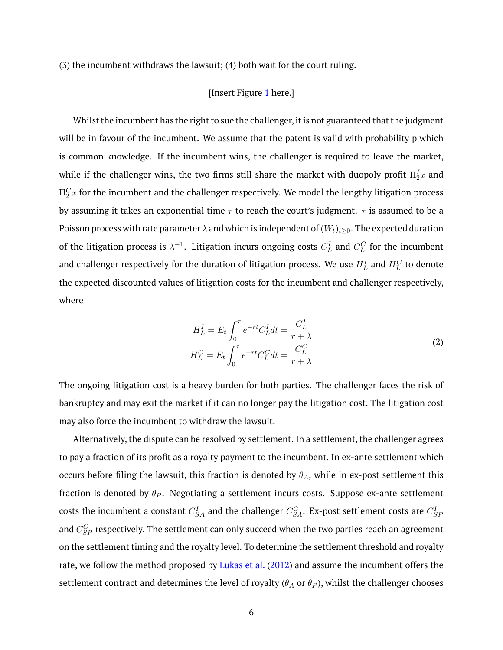(3) the incumbent withdraws the lawsuit; (4) both wait for the court ruling.

# [Insert Figure [1](#page-30-0) here.]

Whilst the incumbent has the right to sue the challenger, it is not guaranteed that the judgment will be in favour of the incumbent. We assume that the patent is valid with probability p which is common knowledge. If the incumbent wins, the challenger is required to leave the market, while if the challenger wins, the two firms still share the market with duopoly profit  $\Pi^I_2 x$  and  $\Pi_2^C x$  for the incumbent and the challenger respectively. We model the lengthy litigation process by assuming it takes an exponential time  $\tau$  to reach the court's judgment.  $\tau$  is assumed to be a Poisson process with rate parameter  $\lambda$  and which is independent of  $(W_t)_{t\geq0}$ . The expected duration of the litigation process is  $\lambda^{-1}.$  Litigation incurs ongoing costs  $C_L^I$  and  $C_L^C$  for the incumbent and challenger respectively for the duration of litigation process. We use  $H_L^I$  and  $H_L^C$  to denote the expected discounted values of litigation costs for the incumbent and challenger respectively, where

$$
H_L^I = E_t \int_0^\tau e^{-rt} C_L^I dt = \frac{C_L^I}{r + \lambda}
$$
  
\n
$$
H_L^C = E_t \int_0^\tau e^{-rt} C_L^C dt = \frac{C_L^C}{r + \lambda}
$$
\n(2)

The ongoing litigation cost is a heavy burden for both parties. The challenger faces the risk of bankruptcy and may exit the market if it can no longer pay the litigation cost. The litigation cost may also force the incumbent to withdraw the lawsuit.

Alternatively, the dispute can be resolved by settlement. In a settlement, the challenger agrees to pay a fraction of its profit as a royalty payment to the incumbent. In ex-ante settlement which occurs before filing the lawsuit, this fraction is denoted by  $\theta_A$ , while in ex-post settlement this fraction is denoted by  $\theta_P$ . Negotiating a settlement incurs costs. Suppose ex-ante settlement costs the incumbent a constant  $C^I_{SA}$  and the challenger  $C^C_{SA}$ . Ex-post settlement costs are  $C^I_{SF}$ and  $C_{SP}^C$  respectively. The settlement can only succeed when the two parties reach an agreement on the settlement timing and the royalty level. To determine the settlement threshold and royalty rate, we follow the method proposed by [Lukas et al.](#page-29-14) [\(2012\)](#page-29-14) and assume the incumbent offers the settlement contract and determines the level of royalty ( $\theta_A$  or  $\theta_P$ ), whilst the challenger chooses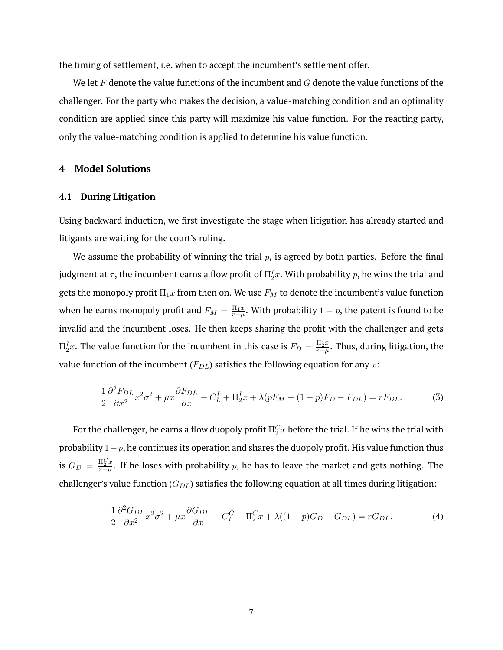the timing of settlement, i.e. when to accept the incumbent's settlement offer.

We let  $F$  denote the value functions of the incumbent and  $G$  denote the value functions of the challenger. For the party who makes the decision, a value-matching condition and an optimality condition are applied since this party will maximize his value function. For the reacting party, only the value-matching condition is applied to determine his value function.

# <span id="page-7-0"></span>**4 Model Solutions**

#### <span id="page-7-1"></span>**4.1 During Litigation**

Using backward induction, we first investigate the stage when litigation has already started and litigants are waiting for the court's ruling.

We assume the probability of winning the trial  $p$ , is agreed by both parties. Before the final judgment at  $\tau,$  the incumbent earns a flow profit of  $\Pi^I_2 x.$  With probability  $p,$  he wins the trial and gets the monopoly profit  $\Pi_1x$  from then on. We use  $F_M$  to denote the incumbent's value function when he earns monopoly profit and  $F_M = \frac{\Pi_1 x}{r - \mu}.$  With probability  $1 - p,$  the patent is found to be invalid and the incumbent loses. He then keeps sharing the profit with the challenger and gets  $\Pi^I_2 x.$  The value function for the incumbent in this case is  $F_D = \frac{\Pi^I_2 x}{r-\mu}$  $\frac{\Pi_2 x}{r-\mu}.$  Thus, during litigation, the value function of the incumbent  $(F_{DL})$  satisfies the following equation for any x:

$$
\frac{1}{2}\frac{\partial^2 F_{DL}}{\partial x^2}x^2\sigma^2 + \mu x \frac{\partial F_{DL}}{\partial x} - C_L^I + \Pi_2^I x + \lambda (pF_M + (1-p)F_D - F_{DL}) = rF_{DL}.
$$
 (3)

For the challenger, he earns a flow duopoly profit  $\Pi_2^C x$  before the trial. If he wins the trial with probability  $1-p$ , he continues its operation and shares the duopoly profit. His value function thus is  $G_D = \frac{\Pi_2^C x}{r - \mu}$  $\frac{n_2^{\perp}x}{r-\mu}.$  If he loses with probability  $p,$  he has to leave the market and gets nothing. The challenger's value function  $(G_{DL})$  satisfies the following equation at all times during litigation:

$$
\frac{1}{2}\frac{\partial^2 G_{DL}}{\partial x^2}x^2\sigma^2 + \mu x \frac{\partial G_{DL}}{\partial x} - C_L^C + \Pi_2^C x + \lambda((1-p)G_D - G_{DL}) = rG_{DL}.
$$
\n(4)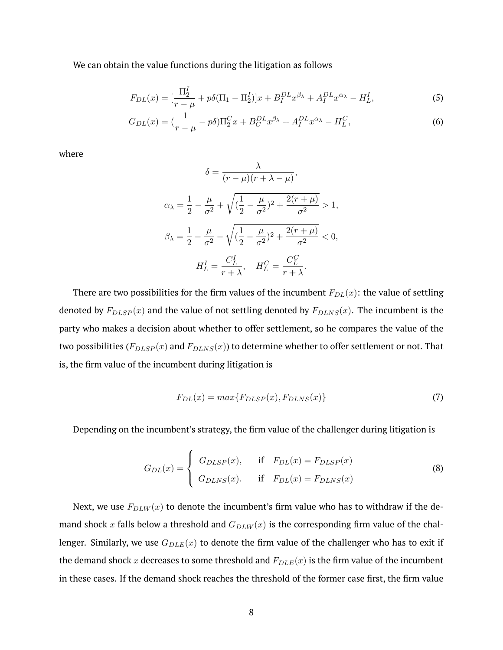We can obtain the value functions during the litigation as follows

$$
F_{DL}(x) = \left[\frac{\Pi_2^I}{r - \mu} + p\delta(\Pi_1 - \Pi_2^I)\right]x + B_I^{DL}x^{\beta_\lambda} + A_I^{DL}x^{\alpha_\lambda} - H_L^I,
$$
\n(5)

$$
G_{DL}(x) = \left(\frac{1}{r-\mu} - p\delta\right) \Pi_2^C x + B_C^{DL} x^{\beta_\lambda} + A_I^{DL} x^{\alpha_\lambda} - H_L^C,
$$
\n<sup>(6)</sup>

where

<span id="page-8-0"></span>
$$
\delta = \frac{\lambda}{(r - \mu)(r + \lambda - \mu)},
$$
  
\n
$$
\alpha_{\lambda} = \frac{1}{2} - \frac{\mu}{\sigma^2} + \sqrt{(\frac{1}{2} - \frac{\mu}{\sigma^2})^2 + \frac{2(r + \mu)}{\sigma^2}} > 1,
$$
  
\n
$$
\beta_{\lambda} = \frac{1}{2} - \frac{\mu}{\sigma^2} - \sqrt{(\frac{1}{2} - \frac{\mu}{\sigma^2})^2 + \frac{2(r + \mu)}{\sigma^2}} < 0,
$$
  
\n
$$
H_L^I = \frac{C_L^I}{r + \lambda}, \quad H_L^C = \frac{C_L^C}{r + \lambda}.
$$

There are two possibilities for the firm values of the incumbent  $F_{DL}(x)$ : the value of settling denoted by  $F_{DLSP}(x)$  and the value of not settling denoted by  $F_{D LNS}(x)$ . The incumbent is the party who makes a decision about whether to offer settlement, so he compares the value of the two possibilities ( $F_{DLSP}(x)$  and  $F_{DLNS}(x)$ ) to determine whether to offer settlement or not. That is, the firm value of the incumbent during litigation is

$$
F_{DL}(x) = max\{F_{DLSP}(x), F_{DLNS}(x)\}\tag{7}
$$

Depending on the incumbent's strategy, the firm value of the challenger during litigation is

$$
G_{DL}(x) = \begin{cases} G_{DLSP}(x), & \text{if } F_{DL}(x) = F_{DLSP}(x) \\ G_{DLNS}(x). & \text{if } F_{DL}(x) = F_{DLNS}(x) \end{cases}
$$
(8)

Next, we use  $F_{DLW}(x)$  to denote the incumbent's firm value who has to withdraw if the demand shock x falls below a threshold and  $G_{DLW}(x)$  is the corresponding firm value of the challenger. Similarly, we use  $G_{DLE}(x)$  to denote the firm value of the challenger who has to exit if the demand shock x decreases to some threshold and  $F_{DLE}(x)$  is the firm value of the incumbent in these cases. If the demand shock reaches the threshold of the former case first, the firm value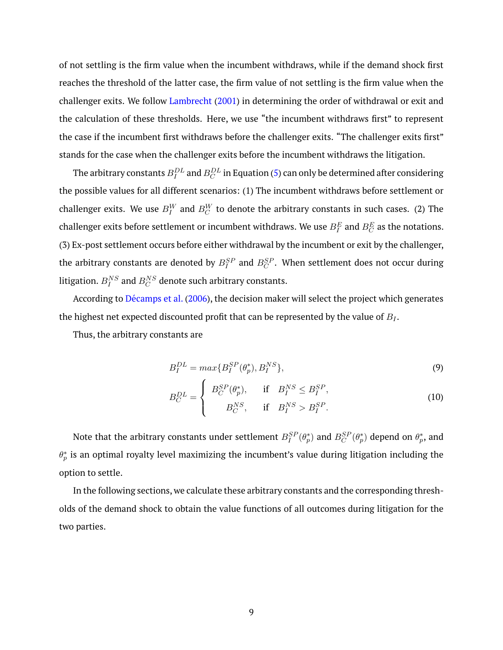of not settling is the firm value when the incumbent withdraws, while if the demand shock first reaches the threshold of the latter case, the firm value of not settling is the firm value when the challenger exits. We follow [Lambrecht](#page-29-15) [\(2001\)](#page-29-15) in determining the order of withdrawal or exit and the calculation of these thresholds. Here, we use "the incumbent withdraws first" to represent the case if the incumbent first withdraws before the challenger exits. "The challenger exits first" stands for the case when the challenger exits before the incumbent withdraws the litigation.

The arbitrary constants  $B^{DL}_{I}$  and  $B^{DL}_{C}$  in Equation [\(5\)](#page-8-0) can only be determined after considering the possible values for all different scenarios: (1) The incumbent withdraws before settlement or challenger exits. We use  $B_{I}^W$  and  $B_{C}^W$  to denote the arbitrary constants in such cases. (2) The challenger exits before settlement or incumbent withdraws. We use  $B_I^E$  and  $B_C^E$  as the notations. (3) Ex-post settlement occurs before either withdrawal by the incumbent or exit by the challenger, the arbitrary constants are denoted by  $B_I^{SP}$  and  $B_C^{SP}.$  When settlement does not occur during litigation.  $B_{I}^{NS}$  and  $B_{C}^{NS}$  denote such arbitrary constants.

According to Décamps et al. [\(2006\)](#page-28-17), the decision maker will select the project which generates the highest net expected discounted profit that can be represented by the value of  $B<sub>I</sub>$ .

Thus, the arbitrary constants are

$$
B_I^{DL} = max\{B_I^{SP}(\theta_p^*), B_I^{NS}\},\tag{9}
$$

$$
B_C^{DL} = \begin{cases} B_C^{SP}(\theta_p^*), & \text{if } B_I^{NS} \le B_I^{SP}, \\ B_C^{NS}, & \text{if } B_I^{NS} > B_I^{SP}. \end{cases} \tag{10}
$$

Note that the arbitrary constants under settlement  $B_I^{SP}(\theta_p^*)$  and  $B_C^{SP}(\theta_p^*)$  depend on  $\theta_p^*$ , and  $\theta^*_p$  is an optimal royalty level maximizing the incumbent's value during litigation including the option to settle.

In the following sections, we calculate these arbitrary constants and the corresponding thresholds of the demand shock to obtain the value functions of all outcomes during litigation for the two parties.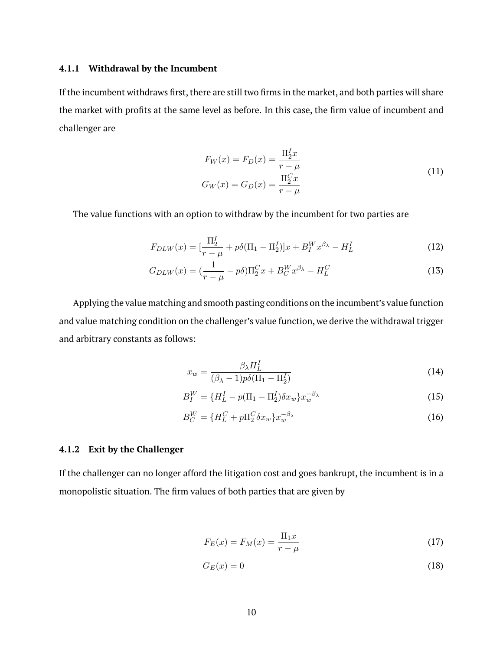# **4.1.1 Withdrawal by the Incumbent**

If the incumbent withdraws first, there are still two firms in the market, and both parties will share the market with profits at the same level as before. In this case, the firm value of incumbent and challenger are

$$
F_W(x) = F_D(x) = \frac{\Pi_2^T x}{r - \mu}
$$
  
\n
$$
G_W(x) = G_D(x) = \frac{\Pi_2^C x}{r - \mu}
$$
\n(11)

The value functions with an option to withdraw by the incumbent for two parties are

$$
F_{DLW}(x) = \left[\frac{\Pi_2^I}{r - \mu} + p\delta(\Pi_1 - \Pi_2^I)\right]x + B_I^W x^{\beta_\lambda} - H_L^I
$$
\n(12)

$$
G_{DLW}(x) = \left(\frac{1}{r - \mu} - p\delta\right) \Pi_2^C x + B_C^W x^{\beta_\lambda} - H_L^C \tag{13}
$$

Applying the value matching and smooth pasting conditions on the incumbent's value function and value matching condition on the challenger's value function, we derive the withdrawal trigger and arbitrary constants as follows:

$$
x_w = \frac{\beta_\lambda H_L^I}{(\beta_\lambda - 1)p\delta(\Pi_1 - \Pi_2^I)}
$$
(14)

$$
B_I^W = \{H_L^I - p(\Pi_1 - \Pi_2^I)\delta x_w\}x_w^{-\beta_\lambda} \tag{15}
$$

$$
B_C^W = \{H_L^C + p\Pi_2^C \delta x_w\} x_w^{-\beta_\lambda} \tag{16}
$$

## **4.1.2 Exit by the Challenger**

If the challenger can no longer afford the litigation cost and goes bankrupt, the incumbent is in a monopolistic situation. The firm values of both parties that are given by

$$
F_E(x) = F_M(x) = \frac{\Pi_1 x}{r - \mu}
$$
\n(17)

$$
G_E(x) = 0\tag{18}
$$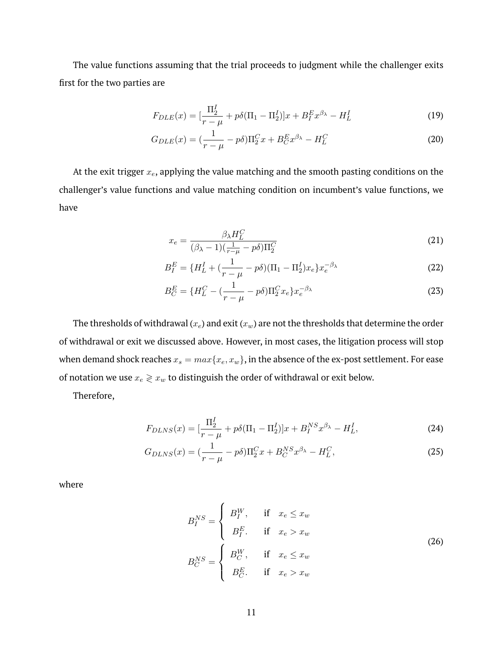The value functions assuming that the trial proceeds to judgment while the challenger exits first for the two parties are

$$
F_{DLE}(x) = \left[\frac{\Pi_2^I}{r - \mu} + p\delta(\Pi_1 - \Pi_2^I)\right]x + B_f^Ex^{\beta_\lambda} - H_L^I
$$
\n(19)

$$
G_{DLE}(x) = \left(\frac{1}{r - \mu} - p\delta\right) \Pi_2^C x + B_C^E x^{\beta_\lambda} - H_L^C \tag{20}
$$

At the exit trigger  $x_e$ , applying the value matching and the smooth pasting conditions on the challenger's value functions and value matching condition on incumbent's value functions, we have

$$
x_e = \frac{\beta_\lambda H_L^C}{(\beta_\lambda - 1)(\frac{1}{r - \mu} - p\delta)\Pi_2^C}
$$
(21)

$$
B_I^E = \{H_L^I + \left(\frac{1}{r - \mu} - p\delta\right)(\Pi_1 - \Pi_2^I)x_e\}x_e^{-\beta_\lambda}
$$
\n(22)

$$
B_C^E = \{H_L^C - (\frac{1}{r - \mu} - p\delta)\Pi_2^C x_e\} x_e^{-\beta_\lambda}
$$
 (23)

The thresholds of withdrawal  $(x_e)$  and exit  $(x_w)$  are not the thresholds that determine the order of withdrawal or exit we discussed above. However, in most cases, the litigation process will stop when demand shock reaches  $x_s = max\{x_e, x_w\}$ , in the absence of the ex-post settlement. For ease of notation we use  $x_e \gtrless x_w$  to distinguish the order of withdrawal or exit below.

Therefore,

$$
F_{DLNS}(x) = \left[\frac{\Pi_2^I}{r - \mu} + p\delta(\Pi_1 - \Pi_2^I)\right]x + B_I^{NS}x^{\beta_\lambda} - H_L^I,
$$
\n(24)

$$
G_{DLNS}(x) = \left(\frac{1}{r - \mu} - p\delta\right) \Pi_2^C x + B_C^{NS} x^{\beta_\lambda} - H_L^C,\tag{25}
$$

<span id="page-11-0"></span>where

$$
B_I^{NS} = \begin{cases} B_I^W, & \text{if } x_e \le x_w \\ B_I^E, & \text{if } x_e > x_w \\ B_C^N & \text{if } x_e \le x_w \end{cases} \tag{26}
$$
\n
$$
B_C^{NS} = \begin{cases} B_C^W, & \text{if } x_e \le x_w \\ B_C^E, & \text{if } x_e > x_w \end{cases} \tag{26}
$$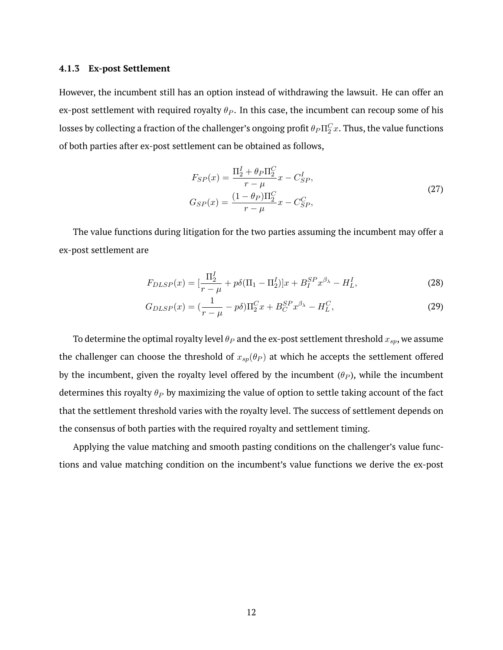# **4.1.3 Ex-post Settlement**

However, the incumbent still has an option instead of withdrawing the lawsuit. He can offer an ex-post settlement with required royalty  $\theta_P$ . In this case, the incumbent can recoup some of his losses by collecting a fraction of the challenger's ongoing profit  $\theta_P \Pi_2^C x.$  Thus, the value functions of both parties after ex-post settlement can be obtained as follows,

$$
F_{SP}(x) = \frac{\Pi_2^I + \theta_P \Pi_2^C}{r - \mu} x - C_{SP}^I,
$$
  
\n
$$
G_{SP}(x) = \frac{(1 - \theta_P)\Pi_2^C}{r - \mu} x - C_{SP}^C,
$$
\n(27)

The value functions during litigation for the two parties assuming the incumbent may offer a ex-post settlement are

$$
F_{DLSP}(x) = \left[\frac{\Pi_2^I}{r - \mu} + p\delta(\Pi_1 - \Pi_2^I)\right]x + B_I^{SP}x^{\beta_\lambda} - H_L^I,
$$
\n(28)

$$
G_{DLSP}(x) = \left(\frac{1}{r-\mu} - p\delta\right) \Pi_2^C x + B_C^{SP} x^{\beta_\lambda} - H_L^C,\tag{29}
$$

To determine the optimal royalty level  $\theta_P$  and the ex-post settlement threshold  $x_{sp}$ , we assume the challenger can choose the threshold of  $x_{sp}(\theta_P)$  at which he accepts the settlement offered by the incumbent, given the royalty level offered by the incumbent  $(\theta_P)$ , while the incumbent determines this royalty  $\theta_P$  by maximizing the value of option to settle taking account of the fact that the settlement threshold varies with the royalty level. The success of settlement depends on the consensus of both parties with the required royalty and settlement timing.

Applying the value matching and smooth pasting conditions on the challenger's value functions and value matching condition on the incumbent's value functions we derive the ex-post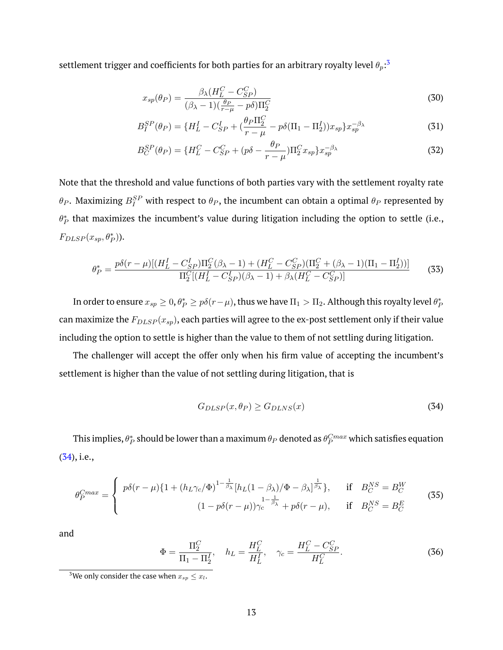settlement trigger and coefficients for both parties for an arbitrary royalty level  $\theta_p{:}^3$  $\theta_p{:}^3$ 

$$
x_{sp}(\theta_P) = \frac{\beta_{\lambda}(H_L^C - C_{SP}^C)}{(\beta_{\lambda} - 1)(\frac{\theta_P}{r - \mu} - p\delta)\Pi_2^C}
$$
(30)

$$
B_I^{SP}(\theta_P) = \{H_L^I - C_{SP}^I + (\frac{\theta_P \Pi_2^C}{r - \mu} - p\delta(\Pi_1 - \Pi_2^I))x_{sp}\}x_{sp}^{-\beta_\lambda}
$$
(31)

$$
B_C^{SP}(\theta_P) = \{H_L^C - C_{SP}^C + (p\delta - \frac{\theta_P}{r - \mu})\Pi_2^C x_{sp}\} x_{sp}^{-\beta_\lambda} \tag{32}
$$

Note that the threshold and value functions of both parties vary with the settlement royalty rate  $\theta_P.$  Maximizing  $B^{SP}_I$  with respect to  $\theta_P,$  the incumbent can obtain a optimal  $\theta_P$  represented by  $\theta_P^*$  that maximizes the incumbent's value during litigation including the option to settle (i.e.,  $F_{DLSP}(x_{sp}, \theta_P^*)$ ).

$$
\theta_P^* = \frac{p\delta(r-\mu)[(H_L^I - C_{SP}^I)\Pi_2^C(\beta_\lambda - 1) + (H_L^C - C_{SP}^C)(\Pi_2^C + (\beta_\lambda - 1)(\Pi_1 - \Pi_2^I))]}{\Pi_2^C[(H_L^I - C_{SP}^I)(\beta_\lambda - 1) + \beta_\lambda(H_L^C - C_{SP}^C)]}
$$
(33)

In order to ensure  $x_{sp}\geq 0$ ,  $\theta_P^*\geq p\delta(r-\mu)$ , thus we have  $\Pi_1>\Pi_2.$  Although this royalty level  $\theta_P^*$ can maximize the  $F_{DLSP}(x_{sp})$ , each parties will agree to the ex-post settlement only if their value including the option to settle is higher than the value to them of not settling during litigation.

The challenger will accept the offer only when his firm value of accepting the incumbent's settlement is higher than the value of not settling during litigation, that is

<span id="page-13-1"></span>
$$
G_{DLSP}(x,\theta_P) \ge G_{D LNS}(x) \tag{34}
$$

This implies,  $\theta_P^*$  should be lower than a maximum  $\theta_P$  denoted as  $\theta_P^{Cmax}$  which satisfies equation [\(34\)](#page-13-1), i.e.,

$$
\theta_P^{Cmax} = \begin{cases}\n p\delta(r-\mu)\left\{1 + (h_L\gamma_c/\Phi)^{1-\frac{1}{\beta_\lambda}}[h_L(1-\beta_\lambda)/\Phi - \beta_\lambda]^{\frac{1}{\beta_\lambda}}\right\}, & \text{if } B_C^{NS} = B_C^W \\
 (1 - p\delta(r-\mu))\gamma_c^{\frac{1-\frac{1}{\beta_\lambda}}{1-\beta_\lambda}} + p\delta(r-\mu), & \text{if } B_C^{NS} = B_C^E\n \end{cases}\n \tag{35}
$$

and

$$
\Phi = \frac{\Pi_2^C}{\Pi_1 - \Pi_2^I}, \quad h_L = \frac{H_L^C}{H_L^I}, \quad \gamma_c = \frac{H_L^C - C_{SP}^C}{H_L^C}.
$$
\n(36)

<span id="page-13-0"></span><sup>&</sup>lt;sup>3</sup>We only consider the case when  $x_{sp} \leq x_l$ .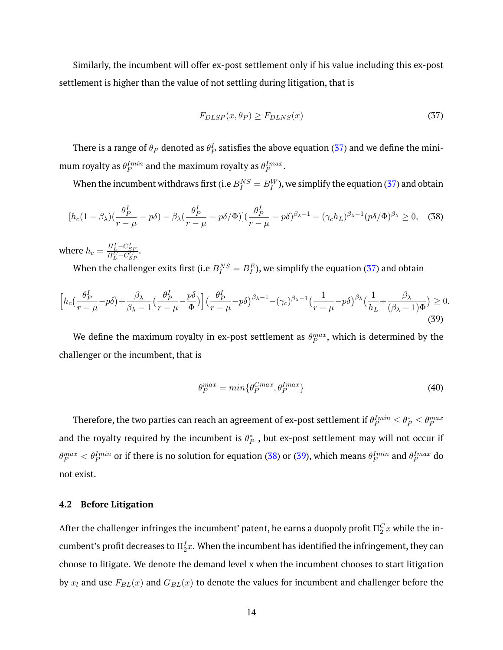Similarly, the incumbent will offer ex-post settlement only if his value including this ex-post settlement is higher than the value of not settling during litigation, that is

<span id="page-14-0"></span>
$$
F_{DLSP}(x,\theta_P) \ge F_{D LNS}(x) \tag{37}
$$

There is a range of  $\theta_P$  denoted as  $\theta^I_P$  satisfies the above equation [\(37\)](#page-14-0) and we define the minimum royalty as  $\theta_P^{Imin}$  and the maximum royalty as  $\theta_P^{Imax}.$ 

When the incumbent withdraws first (i.e  $B_I^{NS} = B_I^W$ ), we simplify the equation [\(37\)](#page-14-0) and obtain

<span id="page-14-1"></span>
$$
[h_c(1-\beta_\lambda)(\frac{\theta_P^I}{r-\mu}-p\delta)-\beta_\lambda(\frac{\theta_P^I}{r-\mu}-p\delta/\Phi)](\frac{\theta_P^I}{r-\mu}-p\delta)^{\beta_\lambda-1}-(\gamma_c h_L)^{\beta_\lambda-1}(p\delta/\Phi)^{\beta_\lambda}\geq 0, \quad (38)
$$

where  $h_c = \frac{H_L^I - C_{SP}^I}{H_L^C - C_{SP}^C}$ .

When the challenger exits first (i.e  $B_I^{NS}=B_I^E$ ), we simplify the equation [\(37\)](#page-14-0) and obtain

<span id="page-14-2"></span>
$$
\left[h_c\left(\frac{\theta_P^I}{r-\mu}-p\delta\right)+\frac{\beta_\lambda}{\beta_\lambda-1}\left(\frac{\theta_P^I}{r-\mu}-\frac{p\delta}{\Phi}\right)\right]\left(\frac{\theta_P^I}{r-\mu}-p\delta\right)^{\beta_\lambda-1}-(\gamma_c)^{\beta_\lambda-1}\left(\frac{1}{r-\mu}-p\delta\right)^{\beta_\lambda}\left(\frac{1}{h_L}+\frac{\beta_\lambda}{(\beta_\lambda-1)\Phi}\right)\geq 0.\tag{39}
$$

We define the maximum royalty in ex-post settlement as  $\theta_P^{max}$ , which is determined by the challenger or the incumbent, that is

$$
\theta_P^{max} = \min\{\theta_P^{Cmax}, \theta_P^{Imax}\}\tag{40}
$$

Therefore, the two parties can reach an agreement of ex-post settlement if  $\theta_P^{Imin} \leq \theta_P^* \leq \theta_P^{max}$ and the royalty required by the incumbent is  $\theta_P^*$  , but ex-post settlement may will not occur if  $\theta_P^{max}<\theta_P^{Imin}$  or if there is no solution for equation [\(38\)](#page-14-1) or [\(39\)](#page-14-2), which means  $\theta_P^{Imin}$  and  $\theta_P^{Imax}$  do not exist.

### **4.2 Before Litigation**

After the challenger infringes the incumbent' patent, he earns a duopoly profit  $\Pi_2^C x$  while the incumbent's profit decreases to  $\Pi^I_2 x.$  When the incumbent has identified the infringement, they can choose to litigate. We denote the demand level x when the incumbent chooses to start litigation by  $x_l$  and use  $F_{BL}(x)$  and  $G_{BL}(x)$  to denote the values for incumbent and challenger before the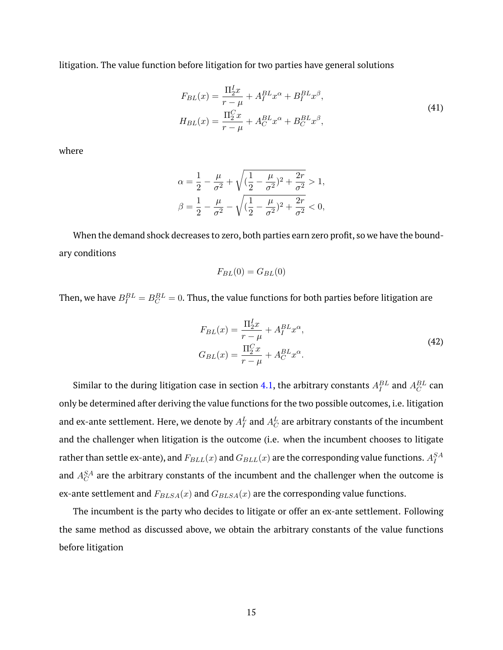litigation. The value function before litigation for two parties have general solutions

$$
F_{BL}(x) = \frac{\Pi_2^L x}{r - \mu} + A_I^{BL} x^{\alpha} + B_I^{BL} x^{\beta},
$$
  
\n
$$
H_{BL}(x) = \frac{\Pi_2^C x}{r - \mu} + A_C^{BL} x^{\alpha} + B_C^{BL} x^{\beta},
$$
\n(41)

where

$$
\alpha = \frac{1}{2} - \frac{\mu}{\sigma^2} + \sqrt{(\frac{1}{2} - \frac{\mu}{\sigma^2})^2 + \frac{2r}{\sigma^2}} > 1,
$$
  

$$
\beta = \frac{1}{2} - \frac{\mu}{\sigma^2} - \sqrt{(\frac{1}{2} - \frac{\mu}{\sigma^2})^2 + \frac{2r}{\sigma^2}} < 0,
$$

When the demand shock decreases to zero, both parties earn zero profit, so we have the boundary conditions

$$
F_{BL}(0) = G_{BL}(0)
$$

Then, we have  $B_I^{BL} = B_C^{BL} = 0.$  Thus, the value functions for both parties before litigation are

$$
F_{BL}(x) = \frac{\Pi_2^L x}{r - \mu} + A_I^{BL} x^{\alpha},
$$
  
\n
$$
G_{BL}(x) = \frac{\Pi_2^C x}{r - \mu} + A_C^{BL} x^{\alpha}.
$$
\n(42)

Similar to the during litigation case in section [4.1,](#page-7-1) the arbitrary constants  $A_I^{BL}$  and  $A_C^{BL}$  can only be determined after deriving the value functions for the two possible outcomes, i.e. litigation and ex-ante settlement. Here, we denote by  $A_I^L$  and  $A_C^L$  are arbitrary constants of the incumbent and the challenger when litigation is the outcome (i.e. when the incumbent chooses to litigate rather than settle ex-ante), and  $F_{BLL}(x)$  and  $G_{BLL}(x)$  are the corresponding value functions.  $A_I^{SA}$ and  $A_C^{SA}$  are the arbitrary constants of the incumbent and the challenger when the outcome is ex-ante settlement and  $F_{BLSA}(x)$  and  $G_{BLSA}(x)$  are the corresponding value functions.

The incumbent is the party who decides to litigate or offer an ex-ante settlement. Following the same method as discussed above, we obtain the arbitrary constants of the value functions before litigation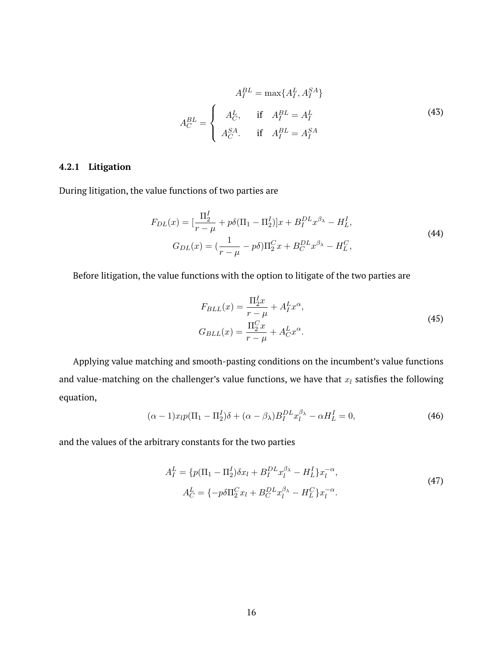$$
A_I^{BL} = \max\{A_I^L, A_I^{SA}\}
$$

$$
A_C^{BL} = \begin{cases} A_C^L, & \text{if } A_I^{BL} = A_I^L\\ A_C^{SA}. & \text{if } A_I^{BL} = A_I^{SA} \end{cases}
$$
(43)

# **4.2.1 Litigation**

During litigation, the value functions of two parties are

$$
F_{DL}(x) = \left[\frac{\Pi_2^I}{r - \mu} + p\delta(\Pi_1 - \Pi_2^I)\right]x + B_I^{DL}x^{\beta_\lambda} - H_L^I,
$$
  
\n
$$
G_{DL}(x) = \left(\frac{1}{r - \mu} - p\delta\right)\Pi_2^Cx + B_C^{DL}x^{\beta_\lambda} - H_L^C,
$$
\n(44)

Before litigation, the value functions with the option to litigate of the two parties are

$$
F_{BLL}(x) = \frac{\Pi_2^L x}{r - \mu} + A_I^L x^{\alpha},
$$
  
\n
$$
G_{BLL}(x) = \frac{\Pi_2^C x}{r - \mu} + A_C^L x^{\alpha}.
$$
\n(45)

Applying value matching and smooth-pasting conditions on the incumbent's value functions and value-matching on the challenger's value functions, we have that  $x_l$  satisfies the following equation,

$$
(\alpha - 1)x_{l}p(\Pi_{1} - \Pi_{2}^{I})\delta + (\alpha - \beta_{\lambda})B_{I}^{DL}x_{l}^{\beta_{\lambda}} - \alpha H_{L}^{I} = 0, \qquad (46)
$$

and the values of the arbitrary constants for the two parties

$$
A_I^L = \{p(\Pi_1 - \Pi_2^I)\delta x_l + B_I^{DL}x_l^{\beta_{\lambda}} - H_L^I\}x_l^{-\alpha},
$$
  
\n
$$
A_C^L = \{-p\delta\Pi_2^C x_l + B_C^{DL}x_l^{\beta_{\lambda}} - H_L^C\}x_l^{-\alpha}.
$$
\n(47)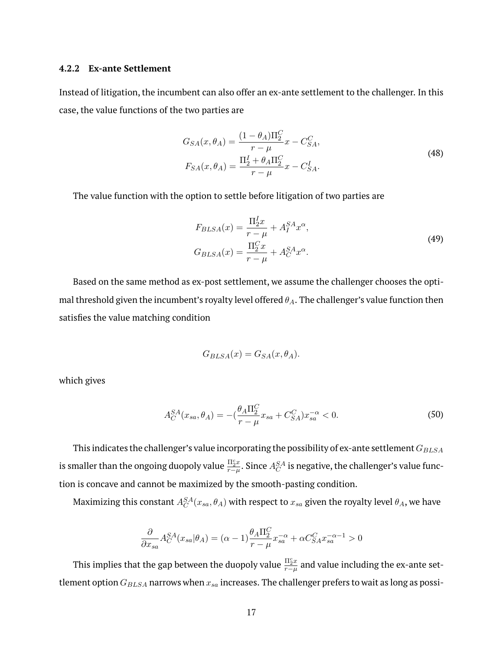# **4.2.2 Ex-ante Settlement**

Instead of litigation, the incumbent can also offer an ex-ante settlement to the challenger. In this case, the value functions of the two parties are

$$
G_{SA}(x, \theta_A) = \frac{(1 - \theta_A)\Pi_2^C}{r - \mu} x - C_{SA}^C,
$$
  
\n
$$
F_{SA}(x, \theta_A) = \frac{\Pi_2^I + \theta_A \Pi_2^C}{r - \mu} x - C_{SA}^I.
$$
\n(48)

The value function with the option to settle before litigation of two parties are

$$
F_{BLSA}(x) = \frac{\Pi_2^I x}{r - \mu} + A_I^{SA} x^{\alpha},
$$
  
\n
$$
G_{BLSA}(x) = \frac{\Pi_2^C x}{r - \mu} + A_C^{SA} x^{\alpha}.
$$
\n(49)

Based on the same method as ex-post settlement, we assume the challenger chooses the optimal threshold given the incumbent's royalty level offered  $\theta_A$ . The challenger's value function then satisfies the value matching condition

$$
G_{BLSA}(x) = G_{SA}(x, \theta_A).
$$

which gives

$$
A_C^{SA}(x_{sa}, \theta_A) = -(\frac{\theta_A \Pi_2^C}{r - \mu} x_{sa} + C_{SA}^C) x_{sa}^{-\alpha} < 0.
$$
 (50)

This indicates the challenger's value incorporating the possibility of ex-ante settlement  $G_{BLSA}$ is smaller than the ongoing duopoly value  $\frac{\Pi_2^c x}{r-\mu}$  $\frac{115x}{r-\mu}.$  Since  $A_C^{SA}$  is negative, the challenger's value function is concave and cannot be maximized by the smooth-pasting condition.

Maximizing this constant  $A_C^{SA}(x_{sa},\theta_A)$  with respect to  $x_{sa}$  given the royalty level  $\theta_A$ , we have

$$
\frac{\partial}{\partial x_{sa}} A_C^{SA}(x_{sa}|\theta_A) = (\alpha - 1)\frac{\theta_A \Pi_2^C}{r - \mu} x_{sa}^{-\alpha} + \alpha C_{SA}^C x_{sa}^{-\alpha - 1} > 0
$$

This implies that the gap between the duopoly value  $\frac{\Pi_2^c x}{x-d}$  $\frac{m_2 x}{r-\mu}$  and value including the ex-ante settlement option  $G_{BLSA}$  narrows when  $x_{sa}$  increases. The challenger prefers to wait as long as possi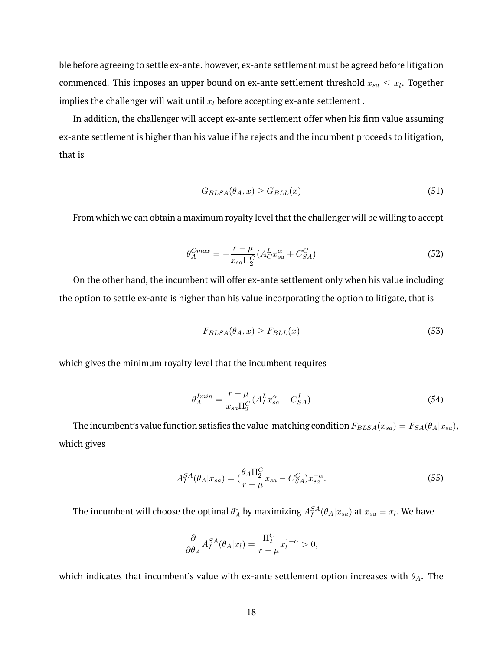ble before agreeing to settle ex-ante. however, ex-ante settlement must be agreed before litigation commenced. This imposes an upper bound on ex-ante settlement threshold  $x_{sa} \leq x_l$ . Together implies the challenger will wait until  $x_l$  before accepting ex-ante settlement.

In addition, the challenger will accept ex-ante settlement offer when his firm value assuming ex-ante settlement is higher than his value if he rejects and the incumbent proceeds to litigation, that is

$$
G_{BLSA}(\theta_A, x) \ge G_{BLL}(x) \tag{51}
$$

From which we can obtain a maximum royalty level that the challenger will be willing to accept

$$
\theta_A^{Cmax} = -\frac{r - \mu}{x_{sa}\Pi_2^C} (A_C^L x_{sa}^\alpha + C_{SA}^C)
$$
\n
$$
\tag{52}
$$

On the other hand, the incumbent will offer ex-ante settlement only when his value including the option to settle ex-ante is higher than his value incorporating the option to litigate, that is

$$
F_{BLSA}(\theta_A, x) \ge F_{BLL}(x) \tag{53}
$$

which gives the minimum royalty level that the incumbent requires

$$
\theta_A^{Imin} = \frac{r - \mu}{x_{sa} \Pi_2^C} (A_I^L x_{sa}^\alpha + C_{SA}^I)
$$
\n(54)

The incumbent's value function satisfies the value-matching condition  $F_{BLSA}(x_{sa}) = F_{SA}(\theta_A|x_{sa})$ , which gives

$$
A_I^{SA}(\theta_A|x_{sa}) = \left(\frac{\theta_A \Pi_2^C}{r - \mu} x_{sa} - C_{SA}^C\right) x_{sa}^{-\alpha}.
$$
\n
$$
(55)
$$

The incumbent will choose the optimal  $\theta_A^*$  by maximizing  $A_I^{SA}(\theta_A|x_{sa})$  at  $x_{sa}=x_l.$  We have

$$
\frac{\partial}{\partial \theta_A} A_I^{SA}(\theta_A | x_l) = \frac{\Pi_2^C}{r - \mu} x_l^{1 - \alpha} > 0,
$$

which indicates that incumbent's value with ex-ante settlement option increases with  $\theta_A$ . The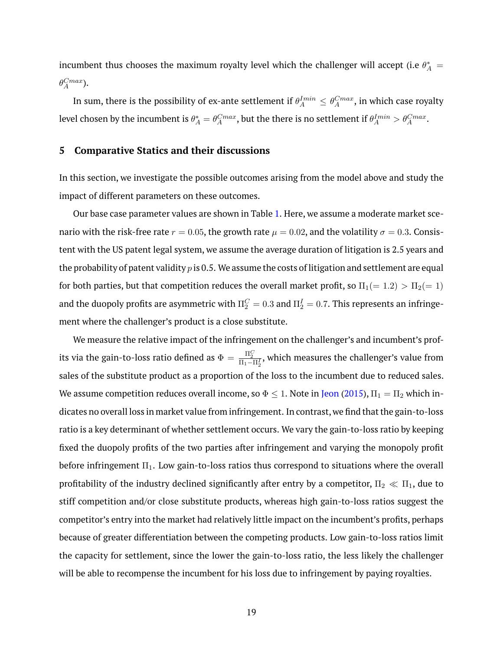incumbent thus chooses the maximum royalty level which the challenger will accept (i.e  $\theta^*_A =$  $\theta_A^{Cmax}$ ).

In sum, there is the possibility of ex-ante settlement if  $\theta_A^{I min} \leq \theta_A^{C max}$ , in which case royalty level chosen by the incumbent is  $\theta^*_A=\theta_A^{Cmax}$ , but the there is no settlement if  $\theta_A^{Imin}>\theta_A^{Cmax}.$ 

# <span id="page-19-0"></span>**5 Comparative Statics and their discussions**

In this section, we investigate the possible outcomes arising from the model above and study the impact of different parameters on these outcomes.

Our base case parameter values are shown in Table [1.](#page-37-0) Here, we assume a moderate market scenario with the risk-free rate  $r = 0.05$ , the growth rate  $\mu = 0.02$ , and the volatility  $\sigma = 0.3$ . Consistent with the US patent legal system, we assume the average duration of litigation is 2.5 years and the probability of patent validity  $p$  is 0.5. We assume the costs of litigation and settlement are equal for both parties, but that competition reduces the overall market profit, so  $\Pi_1(=1.2) > \Pi_2(=1)$ and the duopoly profits are asymmetric with  $\Pi_2^C=0.3$  and  $\Pi_2^I=0.7.$  This represents an infringement where the challenger's product is a close substitute.

We measure the relative impact of the infringement on the challenger's and incumbent's profits via the gain-to-loss ratio defined as  $\Phi=\frac{\Pi_2^C}{\Pi_1-\Pi_2^I}$ , which measures the challenger's value from sales of the substitute product as a proportion of the loss to the incumbent due to reduced sales. We assume competition reduces overall income, so  $\Phi \leq 1$ . Note in [Jeon](#page-29-6) [\(2015\)](#page-29-6),  $\Pi_1 = \Pi_2$  which indicates no overall loss in market value from infringement. In contrast, we find that the gain-to-loss ratio is a key determinant of whether settlement occurs. We vary the gain-to-loss ratio by keeping fixed the duopoly profits of the two parties after infringement and varying the monopoly profit before infringement  $\Pi_1$ . Low gain-to-loss ratios thus correspond to situations where the overall profitability of the industry declined significantly after entry by a competitor,  $\Pi_2 \ll \Pi_1$ , due to stiff competition and/or close substitute products, whereas high gain-to-loss ratios suggest the competitor's entry into the market had relatively little impact on the incumbent's profits, perhaps because of greater differentiation between the competing products. Low gain-to-loss ratios limit the capacity for settlement, since the lower the gain-to-loss ratio, the less likely the challenger will be able to recompense the incumbent for his loss due to infringement by paying royalties.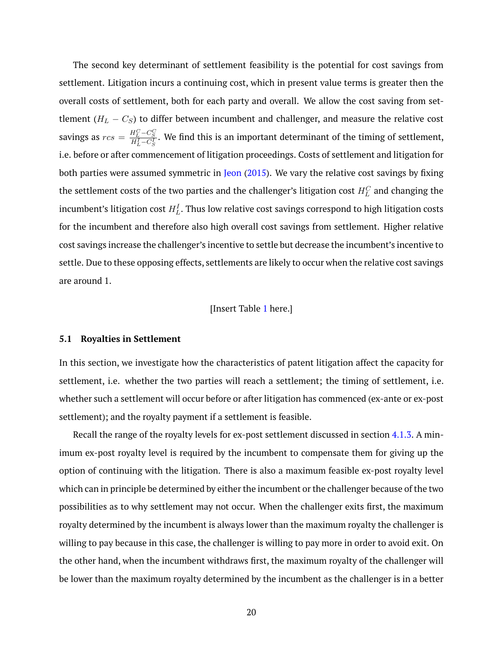The second key determinant of settlement feasibility is the potential for cost savings from settlement. Litigation incurs a continuing cost, which in present value terms is greater then the overall costs of settlement, both for each party and overall. We allow the cost saving from settlement ( $H_L - C_S$ ) to differ between incumbent and challenger, and measure the relative cost savings as  $rcs = \frac{H_L^C - C_S^C}{H_L^I - C_S^I}$ . We find this is an important determinant of the timing of settlement, i.e. before or after commencement of litigation proceedings. Costs of settlement and litigation for both parties were assumed symmetric in [Jeon](#page-29-6) [\(2015\)](#page-29-6). We vary the relative cost savings by fixing the settlement costs of the two parties and the challenger's litigation cost  $H_L^C$  and changing the incumbent's litigation cost  $H_L^I.$  Thus low relative cost savings correspond to high litigation costs for the incumbent and therefore also high overall cost savings from settlement. Higher relative cost savings increase the challenger's incentive to settle but decrease the incumbent's incentive to settle. Due to these opposing effects, settlements are likely to occur when the relative cost savings are around 1.

# [Insert Table [1](#page-37-0) here.]

#### <span id="page-20-0"></span>**5.1 Royalties in Settlement**

In this section, we investigate how the characteristics of patent litigation affect the capacity for settlement, i.e. whether the two parties will reach a settlement; the timing of settlement, i.e. whether such a settlement will occur before or after litigation has commenced (ex-ante or ex-post settlement); and the royalty payment if a settlement is feasible.

Recall the range of the royalty levels for ex-post settlement discussed in section [4.1.3.](#page-11-0) A minimum ex-post royalty level is required by the incumbent to compensate them for giving up the option of continuing with the litigation. There is also a maximum feasible ex-post royalty level which can in principle be determined by either the incumbent or the challenger because of the two possibilities as to why settlement may not occur. When the challenger exits first, the maximum royalty determined by the incumbent is always lower than the maximum royalty the challenger is willing to pay because in this case, the challenger is willing to pay more in order to avoid exit. On the other hand, when the incumbent withdraws first, the maximum royalty of the challenger will be lower than the maximum royalty determined by the incumbent as the challenger is in a better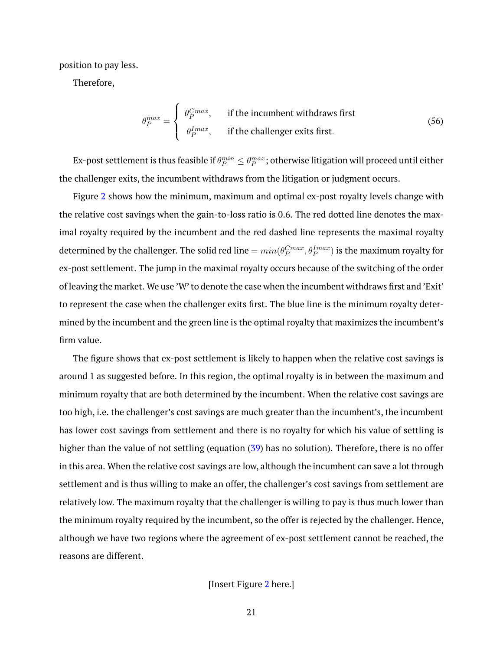position to pay less.

Therefore,

$$
\theta_P^{max} = \begin{cases}\n\theta_P^{Cmax}, & \text{if the incumbent withdrawals first} \\
\theta_P^{Imax}, & \text{if the challenge exits first.} \\
\end{cases}
$$
\n(56)

Ex-post settlement is thus feasible if  $\theta_P^{min}\leq \theta_P^{max}$ ; otherwise litigation will proceed until either the challenger exits, the incumbent withdraws from the litigation or judgment occurs.

Figure [2](#page-31-0) shows how the minimum, maximum and optimal ex-post royalty levels change with the relative cost savings when the gain-to-loss ratio is 0.6. The red dotted line denotes the maximal royalty required by the incumbent and the red dashed line represents the maximal royalty determined by the challenger. The solid red line  $=min(\theta_P^{Cmax},\theta_P^{Imax})$  is the maximum royalty for ex-post settlement. The jump in the maximal royalty occurs because of the switching of the order of leaving the market. We use 'W' to denote the case when the incumbent withdraws first and 'Exit' to represent the case when the challenger exits first. The blue line is the minimum royalty determined by the incumbent and the green line is the optimal royalty that maximizes the incumbent's firm value.

The figure shows that ex-post settlement is likely to happen when the relative cost savings is around 1 as suggested before. In this region, the optimal royalty is in between the maximum and minimum royalty that are both determined by the incumbent. When the relative cost savings are too high, i.e. the challenger's cost savings are much greater than the incumbent's, the incumbent has lower cost savings from settlement and there is no royalty for which his value of settling is higher than the value of not settling (equation [\(39\)](#page-14-2) has no solution). Therefore, there is no offer in this area. When the relative cost savings are low, although the incumbent can save a lot through settlement and is thus willing to make an offer, the challenger's cost savings from settlement are relatively low. The maximum royalty that the challenger is willing to pay is thus much lower than the minimum royalty required by the incumbent, so the offer is rejected by the challenger. Hence, although we have two regions where the agreement of ex-post settlement cannot be reached, the reasons are different.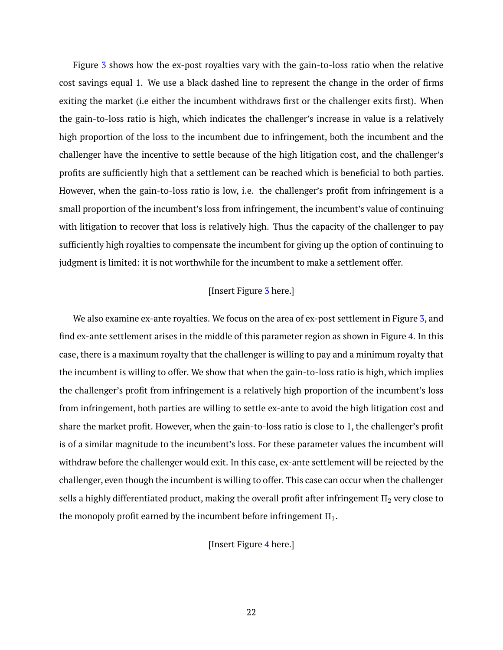Figure [3](#page-32-0) shows how the ex-post royalties vary with the gain-to-loss ratio when the relative cost savings equal 1. We use a black dashed line to represent the change in the order of firms exiting the market (i.e either the incumbent withdraws first or the challenger exits first). When the gain-to-loss ratio is high, which indicates the challenger's increase in value is a relatively high proportion of the loss to the incumbent due to infringement, both the incumbent and the challenger have the incentive to settle because of the high litigation cost, and the challenger's profits are sufficiently high that a settlement can be reached which is beneficial to both parties. However, when the gain-to-loss ratio is low, i.e. the challenger's profit from infringement is a small proportion of the incumbent's loss from infringement, the incumbent's value of continuing with litigation to recover that loss is relatively high. Thus the capacity of the challenger to pay sufficiently high royalties to compensate the incumbent for giving up the option of continuing to judgment is limited: it is not worthwhile for the incumbent to make a settlement offer.

# [Insert Figure [3](#page-32-0) here.]

We also examine ex-ante royalties. We focus on the area of ex-post settlement in Figure [3,](#page-32-0) and find ex-ante settlement arises in the middle of this parameter region as shown in Figure [4.](#page-33-0) In this case, there is a maximum royalty that the challenger is willing to pay and a minimum royalty that the incumbent is willing to offer. We show that when the gain-to-loss ratio is high, which implies the challenger's profit from infringement is a relatively high proportion of the incumbent's loss from infringement, both parties are willing to settle ex-ante to avoid the high litigation cost and share the market profit. However, when the gain-to-loss ratio is close to 1, the challenger's profit is of a similar magnitude to the incumbent's loss. For these parameter values the incumbent will withdraw before the challenger would exit. In this case, ex-ante settlement will be rejected by the challenger, even though the incumbent is willing to offer. This case can occur when the challenger sells a highly differentiated product, making the overall profit after infringement  $\Pi_2$  very close to the monopoly profit earned by the incumbent before infringement  $\Pi_1$ .

[Insert Figure [4](#page-33-0) here.]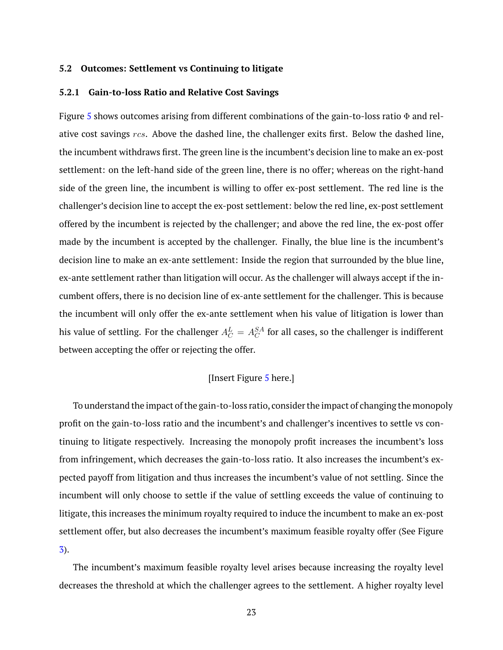#### **5.2 Outcomes: Settlement vs Continuing to litigate**

#### **5.2.1 Gain-to-loss Ratio and Relative Cost Savings**

Figure [5](#page-34-0) shows outcomes arising from different combinations of the gain-to-loss ratio  $\Phi$  and relative cost savings rcs. Above the dashed line, the challenger exits first. Below the dashed line, the incumbent withdraws first. The green line is the incumbent's decision line to make an ex-post settlement: on the left-hand side of the green line, there is no offer; whereas on the right-hand side of the green line, the incumbent is willing to offer ex-post settlement. The red line is the challenger's decision line to accept the ex-post settlement: below the red line, ex-post settlement offered by the incumbent is rejected by the challenger; and above the red line, the ex-post offer made by the incumbent is accepted by the challenger. Finally, the blue line is the incumbent's decision line to make an ex-ante settlement: Inside the region that surrounded by the blue line, ex-ante settlement rather than litigation will occur. As the challenger will always accept if the incumbent offers, there is no decision line of ex-ante settlement for the challenger. This is because the incumbent will only offer the ex-ante settlement when his value of litigation is lower than his value of settling. For the challenger  $A_C^L = A_C^{SA}$  for all cases, so the challenger is indifferent between accepting the offer or rejecting the offer.

## [Insert Figure [5](#page-34-0) here.]

To understand the impact of the gain-to-loss ratio, consider the impact of changing the monopoly profit on the gain-to-loss ratio and the incumbent's and challenger's incentives to settle vs continuing to litigate respectively. Increasing the monopoly profit increases the incumbent's loss from infringement, which decreases the gain-to-loss ratio. It also increases the incumbent's expected payoff from litigation and thus increases the incumbent's value of not settling. Since the incumbent will only choose to settle if the value of settling exceeds the value of continuing to litigate, this increases the minimum royalty required to induce the incumbent to make an ex-post settlement offer, but also decreases the incumbent's maximum feasible royalty offer (See Figure [3\)](#page-32-0).

The incumbent's maximum feasible royalty level arises because increasing the royalty level decreases the threshold at which the challenger agrees to the settlement. A higher royalty level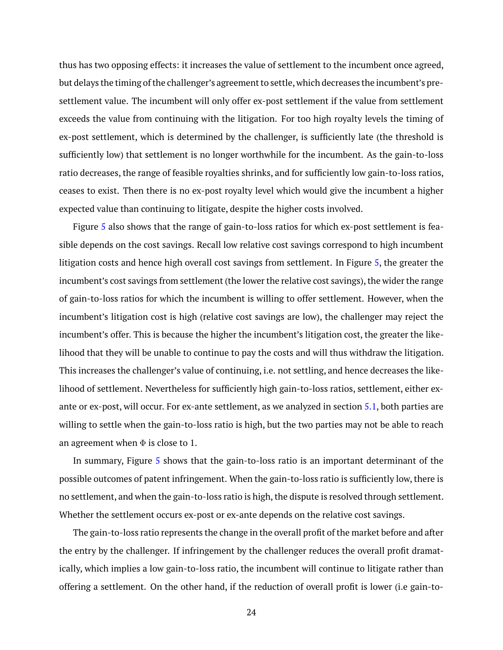thus has two opposing effects: it increases the value of settlement to the incumbent once agreed, but delays the timing of the challenger's agreement to settle, which decreases the incumbent's presettlement value. The incumbent will only offer ex-post settlement if the value from settlement exceeds the value from continuing with the litigation. For too high royalty levels the timing of ex-post settlement, which is determined by the challenger, is sufficiently late (the threshold is sufficiently low) that settlement is no longer worthwhile for the incumbent. As the gain-to-loss ratio decreases, the range of feasible royalties shrinks, and for sufficiently low gain-to-loss ratios, ceases to exist. Then there is no ex-post royalty level which would give the incumbent a higher expected value than continuing to litigate, despite the higher costs involved.

Figure [5](#page-34-0) also shows that the range of gain-to-loss ratios for which ex-post settlement is feasible depends on the cost savings. Recall low relative cost savings correspond to high incumbent litigation costs and hence high overall cost savings from settlement. In Figure [5,](#page-34-0) the greater the incumbent's cost savings from settlement (the lower the relative cost savings), the wider the range of gain-to-loss ratios for which the incumbent is willing to offer settlement. However, when the incumbent's litigation cost is high (relative cost savings are low), the challenger may reject the incumbent's offer. This is because the higher the incumbent's litigation cost, the greater the likelihood that they will be unable to continue to pay the costs and will thus withdraw the litigation. This increases the challenger's value of continuing, i.e. not settling, and hence decreases the likelihood of settlement. Nevertheless for sufficiently high gain-to-loss ratios, settlement, either exante or ex-post, will occur. For ex-ante settlement, as we analyzed in section [5.1,](#page-20-0) both parties are willing to settle when the gain-to-loss ratio is high, but the two parties may not be able to reach an agreement when  $\Phi$  is close to 1.

In summary, Figure [5](#page-34-0) shows that the gain-to-loss ratio is an important determinant of the possible outcomes of patent infringement. When the gain-to-loss ratio is sufficiently low, there is no settlement, and when the gain-to-loss ratio is high, the dispute is resolved through settlement. Whether the settlement occurs ex-post or ex-ante depends on the relative cost savings.

The gain-to-loss ratio represents the change in the overall profit of the market before and after the entry by the challenger. If infringement by the challenger reduces the overall profit dramatically, which implies a low gain-to-loss ratio, the incumbent will continue to litigate rather than offering a settlement. On the other hand, if the reduction of overall profit is lower (i.e gain-to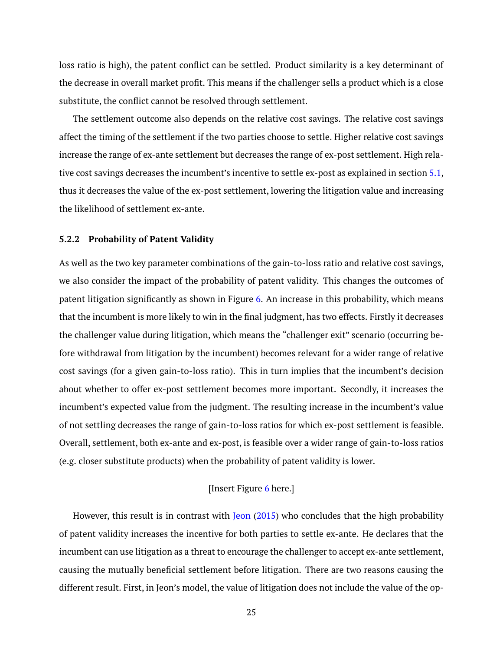loss ratio is high), the patent conflict can be settled. Product similarity is a key determinant of the decrease in overall market profit. This means if the challenger sells a product which is a close substitute, the conflict cannot be resolved through settlement.

The settlement outcome also depends on the relative cost savings. The relative cost savings affect the timing of the settlement if the two parties choose to settle. Higher relative cost savings increase the range of ex-ante settlement but decreases the range of ex-post settlement. High relative cost savings decreases the incumbent's incentive to settle ex-post as explained in section [5.1,](#page-20-0) thus it decreases the value of the ex-post settlement, lowering the litigation value and increasing the likelihood of settlement ex-ante.

# **5.2.2 Probability of Patent Validity**

As well as the two key parameter combinations of the gain-to-loss ratio and relative cost savings, we also consider the impact of the probability of patent validity. This changes the outcomes of patent litigation significantly as shown in Figure [6.](#page-35-0) An increase in this probability, which means that the incumbent is more likely to win in the final judgment, has two effects. Firstly it decreases the challenger value during litigation, which means the "challenger exit" scenario (occurring before withdrawal from litigation by the incumbent) becomes relevant for a wider range of relative cost savings (for a given gain-to-loss ratio). This in turn implies that the incumbent's decision about whether to offer ex-post settlement becomes more important. Secondly, it increases the incumbent's expected value from the judgment. The resulting increase in the incumbent's value of not settling decreases the range of gain-to-loss ratios for which ex-post settlement is feasible. Overall, settlement, both ex-ante and ex-post, is feasible over a wider range of gain-to-loss ratios (e.g. closer substitute products) when the probability of patent validity is lower.

# [Insert Figure [6](#page-35-0) here.]

However, this result is in contrast with [Jeon](#page-29-6)  $(2015)$  who concludes that the high probability of patent validity increases the incentive for both parties to settle ex-ante. He declares that the incumbent can use litigation as a threat to encourage the challenger to accept ex-ante settlement, causing the mutually beneficial settlement before litigation. There are two reasons causing the different result. First, in Jeon's model, the value of litigation does not include the value of the op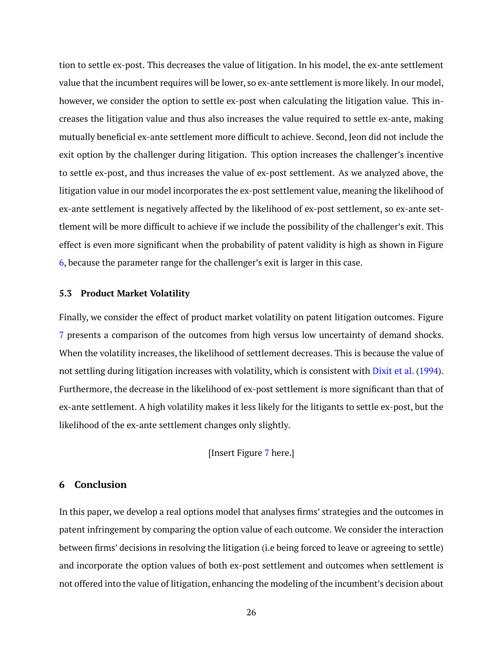tion to settle ex-post. This decreases the value of litigation. In his model, the ex-ante settlement value that the incumbent requires will be lower, so ex-ante settlement is more likely. In our model, however, we consider the option to settle ex-post when calculating the litigation value. This increases the litigation value and thus also increases the value required to settle ex-ante, making mutually beneficial ex-ante settlement more difficult to achieve. Second, Jeon did not include the exit option by the challenger during litigation. This option increases the challenger's incentive to settle ex-post, and thus increases the value of ex-post settlement. As we analyzed above, the litigation value in our model incorporates the ex-post settlement value, meaning the likelihood of ex-ante settlement is negatively affected by the likelihood of ex-post settlement, so ex-ante settlement will be more difficult to achieve if we include the possibility of the challenger's exit. This effect is even more significant when the probability of patent validity is high as shown in Figure [6,](#page-35-0) because the parameter range for the challenger's exit is larger in this case.

# **5.3 Product Market Volatility**

Finally, we consider the effect of product market volatility on patent litigation outcomes. Figure [7](#page-36-0) presents a comparison of the outcomes from high versus low uncertainty of demand shocks. When the volatility increases, the likelihood of settlement decreases. This is because the value of not settling during litigation increases with volatility, which is consistent with [Dixit et al.](#page-28-18) [\(1994\)](#page-28-18). Furthermore, the decrease in the likelihood of ex-post settlement is more significant than that of ex-ante settlement. A high volatility makes it less likely for the litigants to settle ex-post, but the likelihood of the ex-ante settlement changes only slightly.

[Insert Figure [7](#page-36-0) here.]

# <span id="page-26-0"></span>**6 Conclusion**

In this paper, we develop a real options model that analyses firms' strategies and the outcomes in patent infringement by comparing the option value of each outcome. We consider the interaction between firms' decisions in resolving the litigation (i.e being forced to leave or agreeing to settle) and incorporate the option values of both ex-post settlement and outcomes when settlement is not offered into the value of litigation, enhancing the modeling of the incumbent's decision about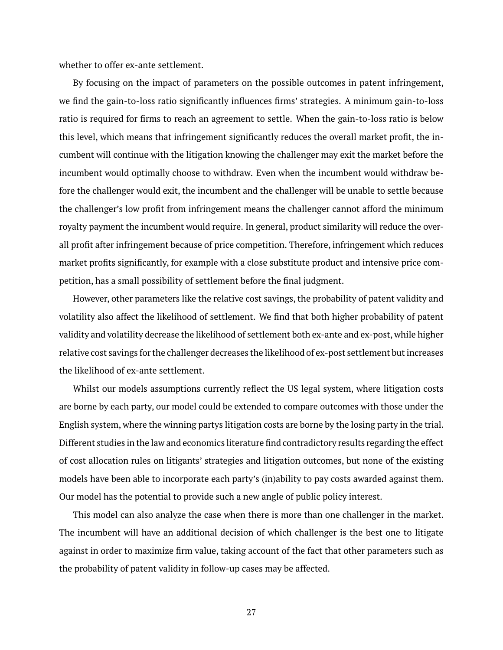whether to offer ex-ante settlement.

By focusing on the impact of parameters on the possible outcomes in patent infringement, we find the gain-to-loss ratio significantly influences firms' strategies. A minimum gain-to-loss ratio is required for firms to reach an agreement to settle. When the gain-to-loss ratio is below this level, which means that infringement significantly reduces the overall market profit, the incumbent will continue with the litigation knowing the challenger may exit the market before the incumbent would optimally choose to withdraw. Even when the incumbent would withdraw before the challenger would exit, the incumbent and the challenger will be unable to settle because the challenger's low profit from infringement means the challenger cannot afford the minimum royalty payment the incumbent would require. In general, product similarity will reduce the overall profit after infringement because of price competition. Therefore, infringement which reduces market profits significantly, for example with a close substitute product and intensive price competition, has a small possibility of settlement before the final judgment.

However, other parameters like the relative cost savings, the probability of patent validity and volatility also affect the likelihood of settlement. We find that both higher probability of patent validity and volatility decrease the likelihood of settlement both ex-ante and ex-post, while higher relative cost savings for the challenger decreases the likelihood of ex-post settlement but increases the likelihood of ex-ante settlement.

Whilst our models assumptions currently reflect the US legal system, where litigation costs are borne by each party, our model could be extended to compare outcomes with those under the English system, where the winning partys litigation costs are borne by the losing party in the trial. Different studies in the law and economics literature find contradictory results regarding the effect of cost allocation rules on litigants' strategies and litigation outcomes, but none of the existing models have been able to incorporate each party's (in)ability to pay costs awarded against them. Our model has the potential to provide such a new angle of public policy interest.

This model can also analyze the case when there is more than one challenger in the market. The incumbent will have an additional decision of which challenger is the best one to litigate against in order to maximize firm value, taking account of the fact that other parameters such as the probability of patent validity in follow-up cases may be affected.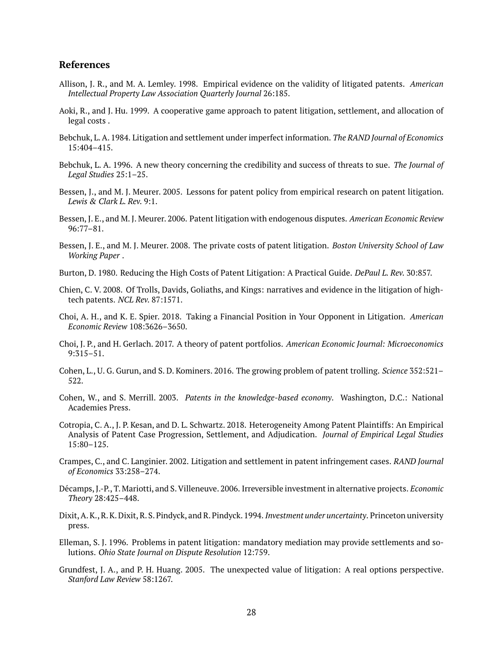# **References**

- <span id="page-28-10"></span>Allison, J. R., and M. A. Lemley. 1998. Empirical evidence on the validity of litigated patents. *American Intellectual Property Law Association Quarterly Journal* 26:185.
- <span id="page-28-16"></span>Aoki, R., and J. Hu. 1999. A cooperative game approach to patent litigation, settlement, and allocation of legal costs .
- <span id="page-28-1"></span>Bebchuk, L. A. 1984. Litigation and settlement under imperfect information. *The RAND Journal of Economics* 15:404–415.
- <span id="page-28-2"></span>Bebchuk, L. A. 1996. A new theory concerning the credibility and success of threats to sue. *The Journal of Legal Studies* 25:1–25.
- <span id="page-28-7"></span>Bessen, J., and M. J. Meurer. 2005. Lessons for patent policy from empirical research on patent litigation. *Lewis & Clark L. Rev.* 9:1.
- <span id="page-28-3"></span>Bessen, J. E., and M. J. Meurer. 2006. Patent litigation with endogenous disputes. *American Economic Review* 96:77–81.
- <span id="page-28-0"></span>Bessen, J. E., and M. J. Meurer. 2008. The private costs of patent litigation. *Boston University School of Law Working Paper* .
- <span id="page-28-12"></span>Burton, D. 1980. Reducing the High Costs of Patent Litigation: A Practical Guide. *DePaul L. Rev.* 30:857.
- <span id="page-28-9"></span>Chien, C. V. 2008. Of Trolls, Davids, Goliaths, and Kings: narratives and evidence in the litigation of hightech patents. *NCL Rev.* 87:1571.
- <span id="page-28-4"></span>Choi, A. H., and K. E. Spier. 2018. Taking a Financial Position in Your Opponent in Litigation. *American Economic Review* 108:3626–3650.
- <span id="page-28-15"></span>Choi, J. P., and H. Gerlach. 2017. A theory of patent portfolios. *American Economic Journal: Microeconomics* 9:315–51.
- <span id="page-28-5"></span>Cohen, L., U. G. Gurun, and S. D. Kominers. 2016. The growing problem of patent trolling. *Science* 352:521– 522.
- <span id="page-28-13"></span>Cohen, W., and S. Merrill. 2003. *Patents in the knowledge-based economy*. Washington, D.C.: National Academies Press.
- <span id="page-28-14"></span>Cotropia, C. A., J. P. Kesan, and D. L. Schwartz. 2018. Heterogeneity Among Patent Plaintiffs: An Empirical Analysis of Patent Case Progression, Settlement, and Adjudication. *Journal of Empirical Legal Studies* 15:80–125.
- <span id="page-28-11"></span>Crampes, C., and C. Langinier. 2002. Litigation and settlement in patent infringement cases. *RAND Journal of Economics* 33:258–274.
- <span id="page-28-17"></span>Décamps, J.-P., T. Mariotti, and S. Villeneuve. 2006. Irreversible investment in alternative projects. *Economic Theory* 28:425–448.
- <span id="page-28-18"></span>Dixit, A. K., R. K. Dixit, R. S. Pindyck, and R. Pindyck. 1994. *Investment under uncertainty*. Princeton university press.
- <span id="page-28-8"></span>Elleman, S. J. 1996. Problems in patent litigation: mandatory mediation may provide settlements and solutions. *Ohio State Journal on Dispute Resolution* 12:759.
- <span id="page-28-6"></span>Grundfest, J. A., and P. H. Huang. 2005. The unexpected value of litigation: A real options perspective. *Stanford Law Review* 58:1267.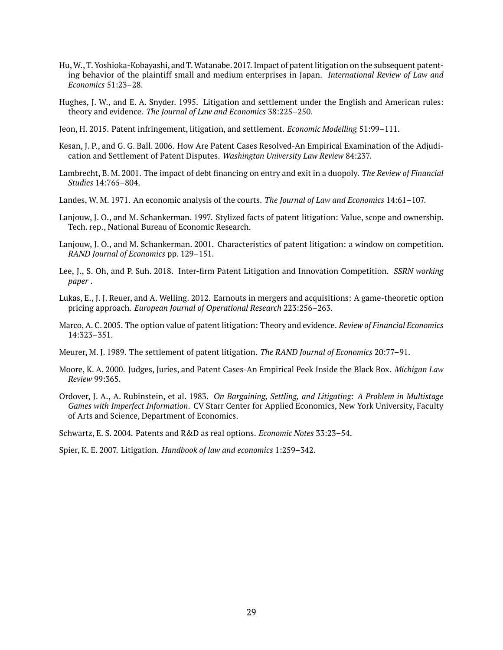- <span id="page-29-10"></span>Hu,W., T. Yoshioka-Kobayashi, and T.Watanabe. 2017. Impact of patent litigation on the subsequent patenting behavior of the plaintiff small and medium enterprises in Japan. *International Review of Law and Economics* 51:23–28.
- <span id="page-29-4"></span>Hughes, J. W., and E. A. Snyder. 1995. Litigation and settlement under the English and American rules: theory and evidence. *The Journal of Law and Economics* 38:225–250.
- <span id="page-29-6"></span>Jeon, H. 2015. Patent infringement, litigation, and settlement. *Economic Modelling* 51:99–111.
- <span id="page-29-12"></span>Kesan, J. P., and G. G. Ball. 2006. How Are Patent Cases Resolved-An Empirical Examination of the Adjudication and Settlement of Patent Disputes. *Washington University Law Review* 84:237.
- <span id="page-29-15"></span>Lambrecht, B. M. 2001. The impact of debt financing on entry and exit in a duopoly. *The Review of Financial Studies* 14:765–804.
- <span id="page-29-0"></span>Landes, W. M. 1971. An economic analysis of the courts. *The Journal of Law and Economics* 14:61–107.
- <span id="page-29-7"></span>Lanjouw, J. O., and M. Schankerman. 1997. Stylized facts of patent litigation: Value, scope and ownership. Tech. rep., National Bureau of Economic Research.
- <span id="page-29-9"></span>Lanjouw, J. O., and M. Schankerman. 2001. Characteristics of patent litigation: a window on competition. *RAND Journal of Economics* pp. 129–151.
- <span id="page-29-2"></span>Lee, J., S. Oh, and P. Suh. 2018. Inter-firm Patent Litigation and Innovation Competition. *SSRN working paper* .
- <span id="page-29-14"></span>Lukas, E., J. J. Reuer, and A. Welling. 2012. Earnouts in mergers and acquisitions: A game-theoretic option pricing approach. *European Journal of Operational Research* 223:256–263.
- <span id="page-29-5"></span>Marco, A. C. 2005. The option value of patent litigation: Theory and evidence. *Review of Financial Economics* 14:323–351.
- <span id="page-29-8"></span>Meurer, M. J. 1989. The settlement of patent litigation. *The RAND Journal of Economics* 20:77–91.
- <span id="page-29-11"></span>Moore, K. A. 2000. Judges, Juries, and Patent Cases-An Empirical Peek Inside the Black Box. *Michigan Law Review* 99:365.
- <span id="page-29-1"></span>Ordover, J. A., A. Rubinstein, et al. 1983. *On Bargaining, Settling, and Litigating: A Problem in Multistage Games with Imperfect Information*. CV Starr Center for Applied Economics, New York University, Faculty of Arts and Science, Department of Economics.

<span id="page-29-13"></span>Schwartz, E. S. 2004. Patents and R&D as real options. *Economic Notes* 33:23–54.

<span id="page-29-3"></span>Spier, K. E. 2007. Litigation. *Handbook of law and economics* 1:259–342.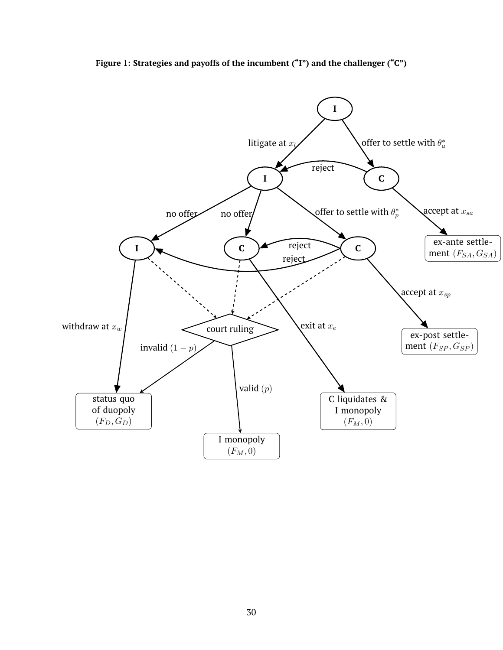<span id="page-30-0"></span>

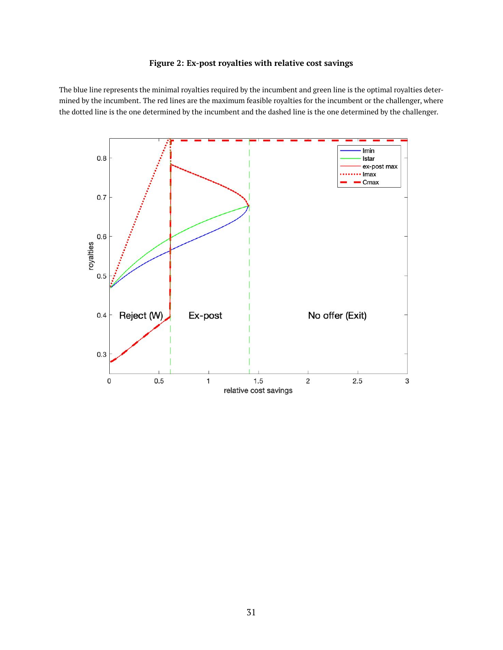# **Figure 2: Ex-post royalties with relative cost savings**

<span id="page-31-0"></span>The blue line represents the minimal royalties required by the incumbent and green line is the optimal royalties determined by the incumbent. The red lines are the maximum feasible royalties for the incumbent or the challenger, where the dotted line is the one determined by the incumbent and the dashed line is the one determined by the challenger.

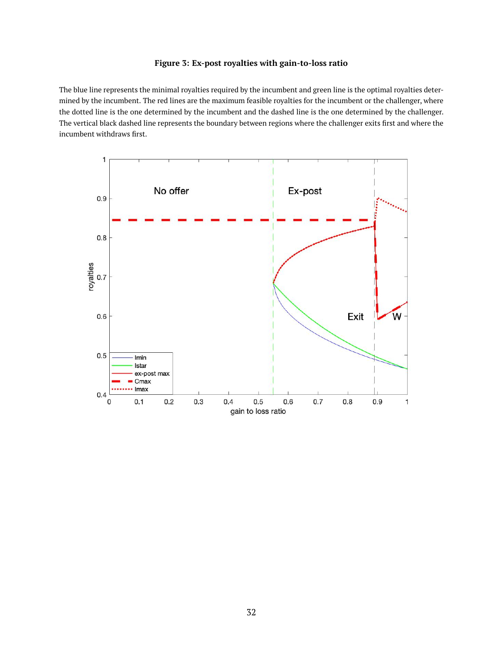# **Figure 3: Ex-post royalties with gain-to-loss ratio**

<span id="page-32-0"></span>The blue line represents the minimal royalties required by the incumbent and green line is the optimal royalties determined by the incumbent. The red lines are the maximum feasible royalties for the incumbent or the challenger, where the dotted line is the one determined by the incumbent and the dashed line is the one determined by the challenger. The vertical black dashed line represents the boundary between regions where the challenger exits first and where the incumbent withdraws first.

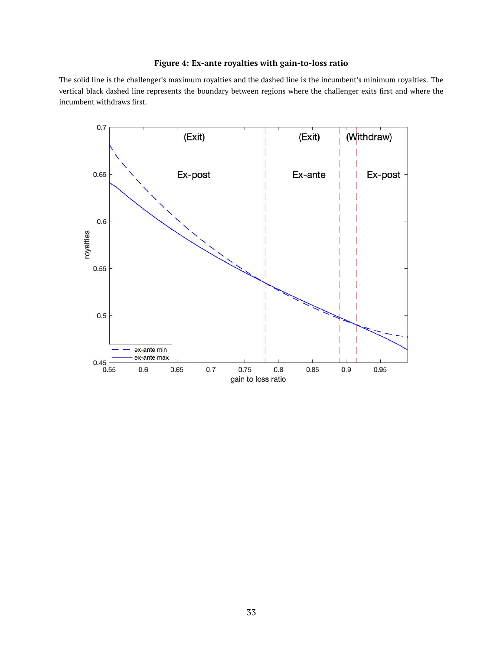# **Figure 4: Ex-ante royalties with gain-to-loss ratio**

<span id="page-33-0"></span>The solid line is the challenger's maximum royalties and the dashed line is the incumbent's minimum royalties. The vertical black dashed line represents the boundary between regions where the challenger exits first and where the incumbent withdraws first.

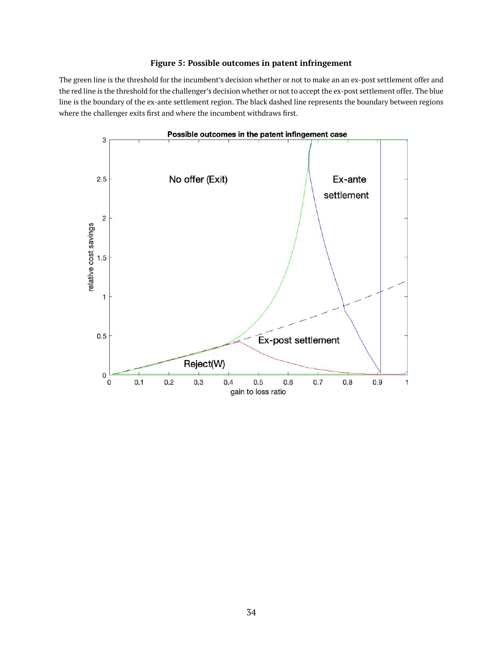# **Figure 5: Possible outcomes in patent infringement**

<span id="page-34-0"></span>The green line is the threshold for the incumbent's decision whether or not to make an an ex-post settlement offer and the red line is the threshold for the challenger's decision whether or not to accept the ex-post settlement offer. The blue line is the boundary of the ex-ante settlement region. The black dashed line represents the boundary between regions where the challenger exits first and where the incumbent withdraws first.

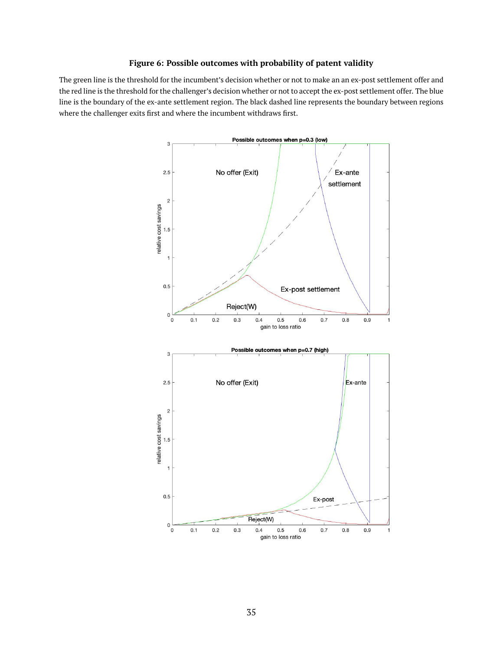# **Figure 6: Possible outcomes with probability of patent validity**

<span id="page-35-0"></span>The green line is the threshold for the incumbent's decision whether or not to make an an ex-post settlement offer and the red line is the threshold for the challenger's decision whether or not to accept the ex-post settlement offer. The blue line is the boundary of the ex-ante settlement region. The black dashed line represents the boundary between regions where the challenger exits first and where the incumbent withdraws first.

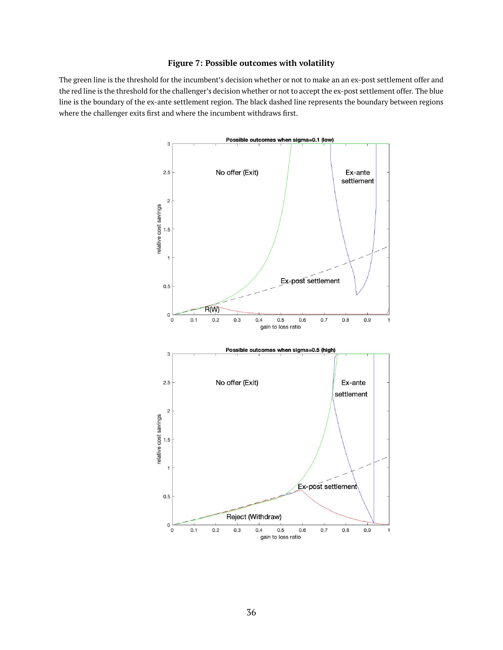# **Figure 7: Possible outcomes with volatility**

<span id="page-36-0"></span>The green line is the threshold for the incumbent's decision whether or not to make an an ex-post settlement offer and the red line is the threshold for the challenger's decision whether or not to accept the ex-post settlement offer. The blue line is the boundary of the ex-ante settlement region. The black dashed line represents the boundary between regions where the challenger exits first and where the incumbent withdraws first.